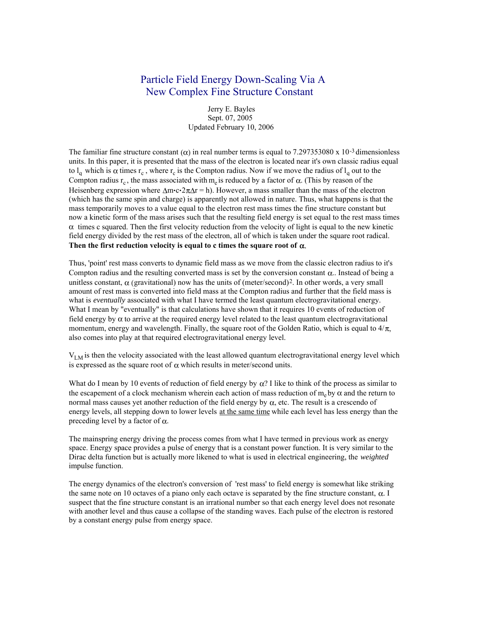# Particle Field Energy Down-Scaling Via A New Complex Fine Structure Constant

 Jerry E. Bayles Sept. 07, 2005 Updated February 10, 2006

The familiar fine structure constant ( $\alpha$ ) in real number terms is equal to 7.297353080 x 10<sup>-3</sup> dimensionless units. In this paper, it is presented that the mass of the electron is located near it's own classic radius equal to  $l_q$  which is  $\alpha$  times  $r_c$ , where  $r_c$  is the Compton radius. Now if we move the radius of  $l_q$  out to the Compton radius r<sub>c</sub>, the mass associated with m<sub>e</sub> is reduced by a factor of  $\alpha$ . (This by reason of the Heisenberg expression where ∆m**.**c**.**2π∆r = h). However, a mass smaller than the mass of the electron (which has the same spin and charge) is apparently not allowed in nature. Thus, what happens is that the mass temporarily moves to a value equal to the electron rest mass times the fine structure constant but now a kinetic form of the mass arises such that the resulting field energy is set equal to the rest mass times  $\alpha$  times c squared. Then the first velocity reduction from the velocity of light is equal to the new kinetic field energy divided by the rest mass of the electron, all of which is taken under the square root radical. **Then the first reduction velocity is equal to c times the square root of** α.

Thus, 'point' rest mass converts to dynamic field mass as we move from the classic electron radius to it's Compton radius and the resulting converted mass is set by the conversion constant α.. Instead of being a unitless constant,  $\alpha$  (gravitational) now has the units of (meter/second)<sup>2</sup>. In other words, a very small amount of rest mass is converted into field mass at the Compton radius and further that the field mass is what is *eventually* associated with what I have termed the least quantum electrogravitational energy. What I mean by "eventually" is that calculations have shown that it requires 10 events of reduction of field energy by  $\alpha$  to arrive at the required energy level related to the least quantum electrogravitational momentum, energy and wavelength. Finally, the square root of the Golden Ratio, which is equal to  $4/\pi$ , also comes into play at that required electrogravitational energy level.

VLM is then the velocity associated with the least allowed quantum electrogravitational energy level which is expressed as the square root of α which results in meter/second units.

What do I mean by 10 events of reduction of field energy by  $\alpha$ ? I like to think of the process as similar to the escapement of a clock mechanism wherein each action of mass reduction of  $m_e$  by  $\alpha$  and the return to normal mass causes yet another reduction of the field energy by  $\alpha$ , etc. The result is a crescendo of energy levels, all stepping down to lower levels at the same time while each level has less energy than the preceding level by a factor of  $α$ .

The mainspring energy driving the process comes from what I have termed in previous work as energy space. Energy space provides a pulse of energy that is a constant power function. It is very similar to the Dirac delta function but is actually more likened to what is used in electrical engineering, the *weighted* impulse function.

The energy dynamics of the electron's conversion of 'rest mass' to field energy is somewhat like striking the same note on 10 octaves of a piano only each octave is separated by the fine structure constant,  $\alpha$ . I suspect that the fine structure constant is an irrational number so that each energy level does not resonate with another level and thus cause a collapse of the standing waves. Each pulse of the electron is restored by a constant energy pulse from energy space.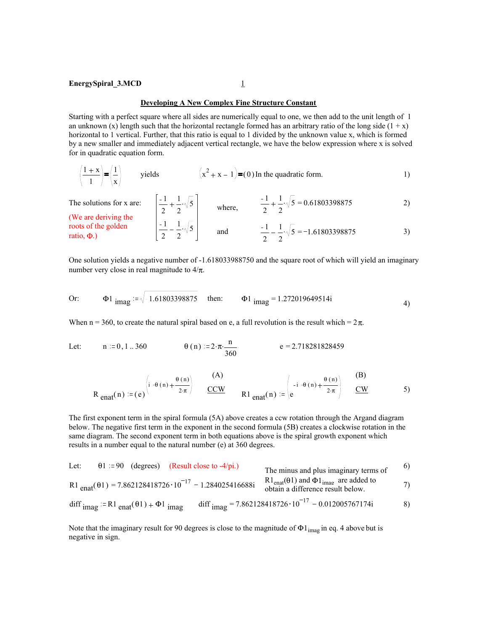#### **Developing A New Complex Fine Structure Constant**

Starting with a perfect square where all sides are numerically equal to one, we then add to the unit length of 1 an unknown  $(x)$  length such that the horizontal rectangle formed has an arbitrary ratio of the long side  $(1 + x)$ horizontal to 1 vertical. Further, that this ratio is equal to 1 divided by the unknown value x, which is formed by a new smaller and immediately adjacent vertical rectangle, we have the below expression where x is solved for in quadratic equation form.

$$
\left(\frac{1+x}{1}\right) = \left(\frac{1}{x}\right)
$$
 yields 
$$
\left(x^2 + x - 1\right) = (0) \text{ In the quadratic form.}
$$

The solutions for x are: 
$$
\left|\frac{-1}{2} + \frac{1}{2} \sqrt{5}\right|
$$
 where,  $\frac{-1}{2} + \frac{1}{2} \sqrt{5} = 0.61803398875$  2)

roots of the golden  
ratio, Φ.) 
$$
\left[\frac{-1}{2} - \frac{1}{2} \cdot \sqrt{5}\right]
$$
 and  $\frac{-1}{2} - \frac{1}{2} \cdot \sqrt{5} = -1.61803398875$  3)

One solution yields a negative number of -1.618033988750 and the square root of which will yield an imaginary number very close in real magnitude to  $4/\pi$ .

Or: 
$$
\Phi_1
$$
  $\text{imag} := \sqrt{-1.61803398875}$  then:  $\Phi_1$   $\text{imag} = 1.272019649514i$  (4)

When n = 360, to create the natural spiral based on e, a full revolution is the result which =  $2\pi$ .

Let: 
$$
n := 0, 1 ... 360
$$
  $\theta(n) := 2 \cdot \pi \cdot \frac{n}{360}$   $e = 2.718281828459$ 

$$
R_{enat}(n) := (e)^{\begin{pmatrix} i & \theta(n) + \frac{\theta(n)}{2\pi} \end{pmatrix}} \frac{(A)}{CCW} \qquad R1_{enat}(n) := \begin{pmatrix} -i & \theta(n) + \frac{\theta(n)}{2\pi} \end{pmatrix} \frac{(B)}{CW} \qquad 5)
$$

The first exponent term in the spiral formula (5A) above creates a ccw rotation through the Argand diagram below. The negative first term in the exponent in the second formula (5B) creates a clockwise rotation in the same diagram. The second exponent term in both equations above is the spiral growth exponent which results in a number equal to the natural number (e) at 360 degrees.

| Let: |                                                                                                 | $\theta$ 1 = 90 (degrees) (Result close to -4/pi.)                                | The minus and plus imaginary terms of                                                     | 6) |
|------|-------------------------------------------------------------------------------------------------|-----------------------------------------------------------------------------------|-------------------------------------------------------------------------------------------|----|
|      |                                                                                                 | R1 enat( $\theta$ 1) = 7.862128418726 $\cdot$ 10 <sup>-17</sup> - 1.284025416688i | $R1_{enat}(\theta1)$ and $\Phi1_{imag}$ are added to<br>obtain a difference result below. | 7) |
|      | diff $_{\text{imag}}$ = R <sub>1</sub> enat( $\theta$ <sub>1</sub> ) + $\Phi$ <sub>1</sub> imag |                                                                                   | diff $_{\text{imag}}$ = 7.862128418726 $\cdot$ 10 <sup>-17</sup> - 0.012005767174i        | 8) |

Note that the imaginary result for 90 degrees is close to the magnitude of  $\Phi1_{\text{imag}}$  in eq. 4 above but is negative in sign.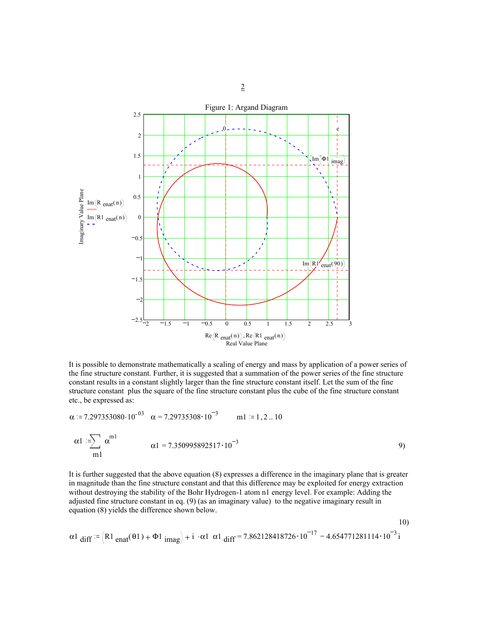

It is possible to demonstrate mathematically a scaling of energy and mass by application of a power series of the fine structure constant. Further, it is suggested that a summation of the power series of the fine structure constant results in a constant slightly larger than the fine structure constant itself. Let the sum of the fine structure constant plus the square of the fine structure constant plus the cube of the fine structure constant etc., be expressed as:

$$
\alpha := 7.297353080 \cdot 10^{-03} \quad \alpha = 7.29735308 \cdot 10^{-3} \qquad m1 := 1, 2 ... 10
$$
  
\n
$$
\alpha 1 := \sum_{m1}^{\infty} \alpha^{m1} \qquad \alpha 1 = 7.350995892517 \cdot 10^{-3}
$$

It is further suggested that the above equation (8) expresses a difference in the imaginary plane that is greater in magnitude than the fine structure constant and that this difference may be exploited for energy extraction without destroying the stability of the Bohr Hydrogen-1 atom n1 energy level. For example: Adding the adjusted fine structure constant in eq. (9) (as an imaginary value) to the negative imaginary result in equation (8) yields the difference shown below.

$$
\alpha 1_{diff} = (R1_{enat}(01) + \Phi 1_{imag}) + i \cdot \alpha 1_{diff} = 7.862128418726 \cdot 10^{-17} - 4.654771281114 \cdot 10^{-3} i
$$

10)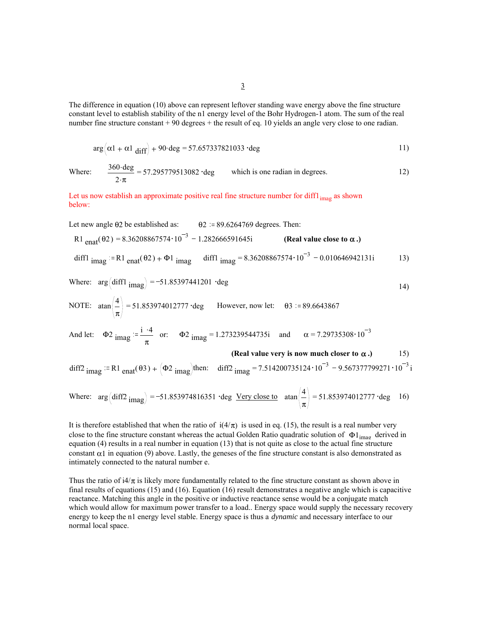The difference in equation (10) above can represent leftover standing wave energy above the fine structure constant level to establish stability of the n1 energy level of the Bohr Hydrogen-1 atom. The sum of the real number fine structure constant + 90 degrees + the result of eq. 10 yields an angle very close to one radian.

$$
\arg\left(\alpha 1 + \alpha 1 \text{ diff}\right) + 90 \cdot \text{deg} = 57.657337821033 \cdot \text{deg}
$$

Where: 
$$
\frac{360 \cdot \text{deg}}{2 \cdot \pi} = 57.295779513082 \cdot \text{deg}
$$
 which is one radian in degrees.

Let us now establish an approximate positive real fine structure number for diff1<sub>imag</sub> as shown below:

Let new angle 
$$
\theta
$$
2 be established as:  $\theta$ 2 := 89.6264769 degrees. Then:  
\nR1 <sub>enat</sub>( $\theta$ 2) = 8.36208867574•10<sup>-3</sup> - 1.282666591645i (Real value close to  $\alpha$ .)  
\ndiff1 <sub>imag</sub> := R1 <sub>enat</sub>( $\theta$ 2) +  $\Phi$ 1 <sub>imag</sub> diff1 <sub>imag</sub> = 8.36208867574•10<sup>-3</sup> - 0.010646942131i 13)  
\nWhere: arg (diff1 <sub>imag</sub>) = -51.85397441201 ·deg  
\nNOTE:  $\arctan\left(\frac{4}{\pi}\right)$  = 51.853974012777 ·deg However, now let:  $\theta$ 3 := 89.6643867

And let: 
$$
\Phi_2
$$
  $\frac{\Delta_2}{\pi}$  or:  $\Phi_2$   $\frac{\Delta_2}{\pi}$  or:  $\Phi_2$   $\frac{\Delta_2}{\pi}$  = 1.273239544735i and  $\alpha = 7.29735308 \cdot 10^{-3}$ 

#### **(Real value very is now much closer to** α **.)** 15)

diff2 
$$
imag := R1
$$
  $enat(03) + (\Phi2 \text{ imag})$  then: diff2  $imag = 7.514200735124 \cdot 10^{-3} - 9.567377799271 \cdot 10^{-3}$ 

Where: 
$$
\arg\left(\text{diff2}_{\text{imag}}\right) = -51.853974816351 \cdot \text{deg} \text{ Very close to } \tan\left(\frac{4}{\pi}\right) = 51.853974012777 \cdot \text{deg} \quad 16)
$$

It is therefore established that when the ratio of  $i(4/\pi)$  is used in eq. (15), the result is a real number very close to the fine structure constant whereas the actual Golden Ratio quadratic solution of  $\Phi1_{\text{image}}$  derived in equation (4) results in a real number in equation (13) that is not quite as close to the actual fine structure constant  $\alpha$ 1 in equation (9) above. Lastly, the geneses of the fine structure constant is also demonstrated as intimately connected to the natural number e.

Thus the ratio of i4/π is likely more fundamentally related to the fine structure constant as shown above in final results of equations (15) and (16). Equation (16) result demonstrates a negative angle which is capacitive reactance. Matching this angle in the positive or inductive reactance sense would be a conjugate match which would allow for maximum power transfer to a load.. Energy space would supply the necessary recovery energy to keep the n1 energy level stable. Energy space is thus a *dynamic* and necessary interface to our normal local space.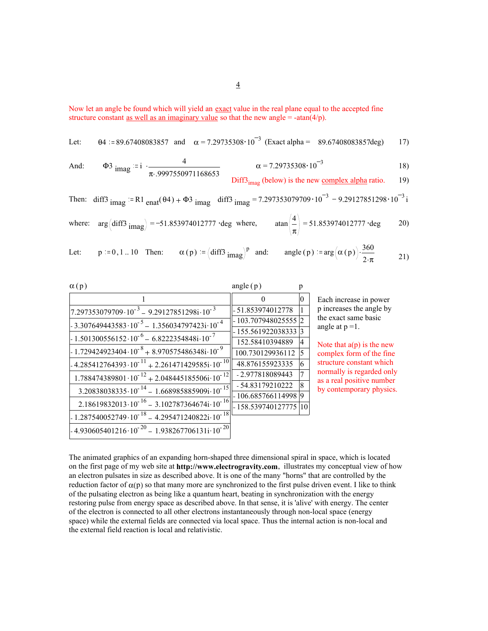4

Now let an angle be found which will yield an <u>exact</u> value in the real plane equal to the accepted fine structure constant <u>as well as an imaginary value</u> so that the new angle =  $-\tan(4/p)$ .

Let: 
$$
\theta
$$
4 := 89.67408083857 and  $\alpha$  = 7.29735308·10<sup>-3</sup> (Exact alpha = 89.67408083857deg) 17)

And: 
$$
\Phi 3
$$
  $\text{imag}$  := i  $\frac{4}{\pi \cdot .9997550971168653}$   $\alpha = 7.29735308 \cdot 10^{-3}$  18)

$$
Diff3imag (below) is the new complex alpha ratio. 19)
$$

Then: diff3 
$$
imag := R1
$$
  $enat(\theta 4) + \Phi 3$   $imag$  diff3  $imag = 7.297353079709 \cdot 10^{-3} - 9.29127851298 \cdot 10^{-3}$ 

where: 
$$
arg\left(dff3\right]_{\text{imag}} = -51.853974012777 \text{ deg where, } tan\left(\frac{4}{\pi}\right) = 51.853974012777 \text{ deg}
$$
 20)

Let: 
$$
p := 0, 1 ... 10
$$
 Then:  $\alpha(p) := (diff3 \text{ imag})^p$  and:  $angle(p) := arg(\alpha(p)) \cdot \frac{360}{2 \cdot \pi}$  21)

| $\alpha(p)$                                                                            | angle $(p)$            | p              |
|----------------------------------------------------------------------------------------|------------------------|----------------|
|                                                                                        | $\Omega$               | $\theta$       |
| $7.297353079709 \cdot 10^{-3} - 9.29127851298 \mathrm{i} \cdot 10^{-3}$                | $-51.853974012778$     |                |
| $-3.307649443583 \cdot 10^{-5} - 1.356034797423 \mathrm{i} \cdot 10^{-4}$              | $-103.707948025555$  2 |                |
|                                                                                        | -155.561922038333      | 3              |
| $-1.501300556152 \cdot 10^{-6} - 6.8222354848 \mathrm{i} \cdot 10^{-7}$                | 152.58410394889        | $\overline{4}$ |
| $-1.729424923404 \cdot 10^{-8} + 8.970575486348 \mathrm{i} \cdot 10^{-9}$              | 100.730129936112       | $\overline{5}$ |
| $-4.285412764393 \cdot 10^{-11} + 2.261471429585i \cdot 10^{-10}$                      | 48.876155923335        | 6              |
| $1.788474389801 \cdot 10^{-12} + 2.048445185506i \cdot 10^{-12}$                       | -2.977818089443        | $\tau$         |
| $3.20838038335 \cdot 10^{-14} - 1.668985885909i \cdot 10^{-15}$                        | $-54.83179210222$      | 8              |
|                                                                                        | $-106.68576611499899$  |                |
| $2.18619832013 \cdot 10^{-16} - 3.102787364674 \mathrm{i} \cdot 10^{-16}$              | - 158.539740127775 10  |                |
| $\frac{1}{2}$ 1.287540052749 · 10 <sup>-18</sup> - 4.295471240822i · 10 <sup>-18</sup> |                        |                |
| $-4.930605401216 \cdot 10^{-20} - 1.938267706131i \cdot 10^{-20}$                      |                        |                |

Each increase in power p increases the angle by the exact same basic angle at  $p = 1$ .

Note that  $a(p)$  is the new complex form of the fine structure constant which normally is regarded only as a real positive number by contemporary physics.

The animated graphics of an expanding horn-shaped three dimensional spiral in space, which is located on the first page of my web site at **http://www.electrogravity.com**, illustrates my conceptual view of how an electron pulsates in size as described above. It is one of the many "horns" that are controlled by the reduction factor of  $\alpha(p)$  so that many more are synchronized to the first pulse driven event. I like to think of the pulsating electron as being like a quantum heart, beating in synchronization with the energy restoring pulse from energy space as described above. In that sense, it is 'alive' with energy. The center of the electron is connected to all other electrons instantaneously through non-local space (energy space) while the external fields are connected via local space. Thus the internal action is non-local and the external field reaction is local and relativistic.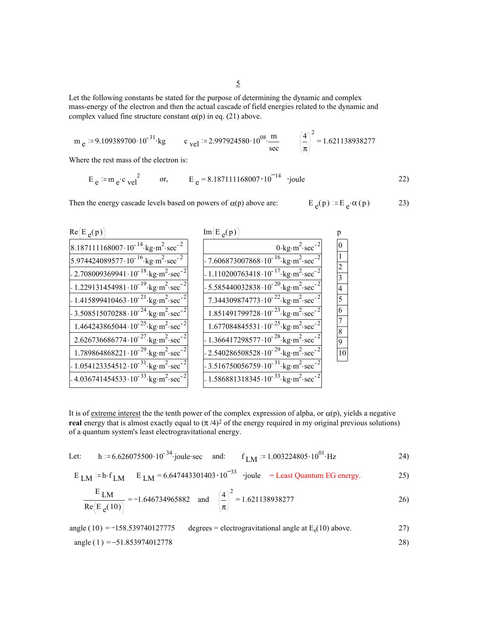Let the following constants be stated for the purpose of determining the dynamic and complex mass-energy of the electron and then the actual cascade of field energies related to the dynamic and complex valued fine structure constant  $\alpha(p)$  in eq. (21) above.

m e := 9.109389700·10<sup>-31</sup> kg  
\nc <sub>vel</sub> := 2.997924580·10<sup>08</sup>.  
\n
$$
\frac{m}{\sec} \left(\frac{4}{\pi}\right)^2 = 1.621138938277
$$

Where the rest mass of the electron is:

$$
E_e := m_e \cdot c_{vel}^2
$$
 or,  $E_e = 8.187111168007 \cdot 10^{-14}$  'joule 22)

Then the energy cascade levels based on powers of  $\alpha(p)$  above are:

$$
E_e(p) = E_e \alpha(p) \qquad \qquad 23)
$$

| $Im(E_e(p))$                                                                 | p                   |
|------------------------------------------------------------------------------|---------------------|
| $0 \cdot \text{kg} \cdot \text{m}^2 \cdot \text{sec}^{-2}$                   |                     |
| $-7.606873007868 \cdot 10^{-16}$ kg·m <sup>2</sup> ·sec <sup>-2</sup>        |                     |
| $-1.110200763418 \cdot 10^{-17}$ kg·m <sup>2</sup> ·sec <sup>-2</sup>        | $\overline{c}$<br>3 |
| $-5.585440032838 \cdot 10^{-20}$ kg·m <sup>2</sup> ·sec <sup>-2</sup>        | $\overline{4}$      |
| 7.344309874773 $\cdot 10^{-22}$ kg m <sup>2</sup> sec <sup>-2</sup>          | 5                   |
| $1.851491799728 \cdot 10^{-23}$ kg m <sup>2</sup> sec <sup>-2</sup>          | 6                   |
| $1.677084845531 \cdot 10^{-25}$ kg m <sup>2</sup> sec <sup>-2</sup>          | 7<br>8              |
| $-1.366417298577 \cdot 10^{-28}$ kg $\cdot$ m <sup>2</sup> sec <sup>-2</sup> | 9                   |
| $2.540286508528 \cdot 10^{-29}$ kg m <sup>2</sup> sec <sup>-2</sup>          | 10 <sup>1</sup>     |
| $-3.516750056759 \cdot 10^{-31}$ kg·m <sup>2</sup> ·sec <sup>-2</sup>        |                     |
| $-1.586881318345 \cdot 10^{-33}$ kg m <sup>2</sup> sec <sup>-2</sup>         |                     |
|                                                                              |                     |

It is of <u>extreme interest</u> the the tenth power of the complex expression of alpha, or  $\alpha(p)$ , yields a negative **real** energy that is almost exactly equal to  $(\pi/4)^2$  of the energy required in my original previous solutions) of a quantum system's least electrogravitational energy.

Let: 
$$
h := 6.626075500 \cdot 10^{-34}
$$
 joule-  
sec and:  $f_{LM} := 1.003224805 \cdot 10^{01}$ ·Hz

$$
E_{LM} = h \cdot f_{LM} \qquad E_{LM} = 6.647443301403 \cdot 10^{-33} \quad \text{joule} \quad = \text{Least Quantum EG energy.} \tag{25}
$$

$$
\frac{E_{LM}}{Re(E_e(10))} = -1.646734965882 \text{ and } \left(\frac{4}{\pi}\right)^2 = 1.621138938277
$$

angle (10) = -158.539740127775 degrees = electrogravitational angle at 
$$
E_e(10)
$$
 above.  
angle (1) = -51.853974012778 28)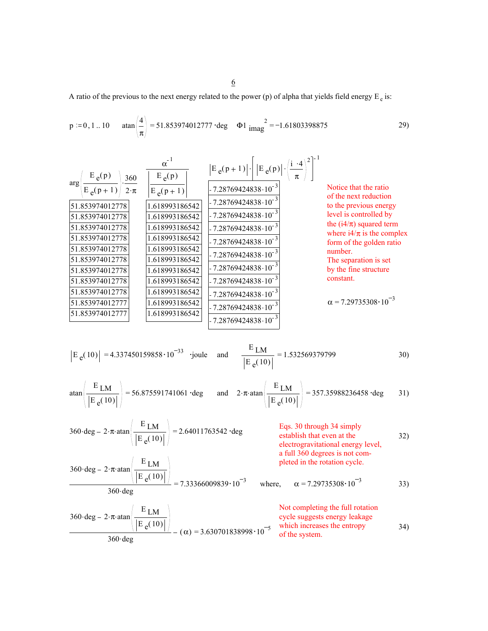A ratio of the previous to the next energy related to the power (p) of alpha that yields field energy  $E_e$  is:

p := 0, 1... 10 
$$
\tan\left(\frac{4}{\pi}\right)
$$
 = 51.853974012777 deg  $\Phi$ 1  $\tan\left(\frac{2}{\pi}\right)$   
\n $\frac{\pi}{E_e(p+1)}$   $\frac{\pi}{2\cdot\pi}$   $\frac{\pi}{E_e(p+1)}$   $\frac{E_e(p)}{E_e(p+1)}$   $\frac{7.28769424838 \cdot 10^{-3}}{7.28769424838 \cdot 10^{-3}}$   
\n51.853974012778  
\n51.853974012778  
\n51.853974012778  
\n51.853974012778  
\n51.853974012778  
\n51.853974012778  
\n51.853974012778  
\n51.853974012778  
\n51.853974012778  
\n51.853974012778  
\n51.853974012778  
\n51.853974012778  
\n51.853974012778  
\n51.853974012778  
\n51.853974012778  
\n51.853974012778  
\n51.853974012778  
\n51.853974012778  
\n51.853974012778  
\n51.853974012777  
\n51.853974012777  
\n51.853974012777  
\n51.853974012777  
\n51.853974012777  
\n51.853974012777  
\n51.853974012777  
\n51.853974012777  
\n51.853974012777  
\n51.853974012777  
\n51.853974012777  
\n51.853974012777  
\n51.853974012777

$$
\left| \mathbf{E}_{e}(10) \right| = 4.337450159858 \cdot 10^{-33} \quad \text{joule} \quad \text{and} \quad \frac{\mathbf{E}_{LM}}{\left| \mathbf{E}_{e}(10) \right|} = 1.532569379799 \quad 30)
$$

$$
\text{atan}\left(\frac{E_{LM}}{|E_{e}(10)|}\right) = 56.875591741061 \text{ deg} \qquad \text{and} \qquad 2 \cdot \pi \cdot \text{atan}\left(\frac{E_{LM}}{|E_{e}(10)|}\right) = 357.35988236458 \text{ deg} \qquad 31)
$$

$$
360 \cdot \text{deg} - 2 \cdot \pi \cdot \text{atan}\left(\frac{E_{LM}}{|E_{e}(10)|}\right) = 2.64011763542 \cdot \text{deg}
$$

$$
\frac{360 \cdot \text{deg} - 2 \cdot \pi \cdot \text{atan}\left(\frac{E_{LM}}{|E_{e}(10)|}\right)}{360 \cdot \text{deg}} = 7.33366009839 \cdot 10^{-7}
$$

Eqs. 30 through 34 simply establish that even at the electrogravitational energy level, a full 360 degrees is not completed in the rotation cycle. 2.64011763542 deg 32)

7.33366009839•10<sup>-3</sup> where, 
$$
\alpha = 7.29735308 \cdot 10^{-3}
$$
 33)

360-deg - 2·
$$
\pi
$$
·atan  $\left( \frac{E LM}{|E e^{(10)}|} \right)$  Note completing the full rotation cycle suggests energy leakage  
360-deg\n
$$
- (\alpha) = 3.630701838998 \cdot 10^{-5}
$$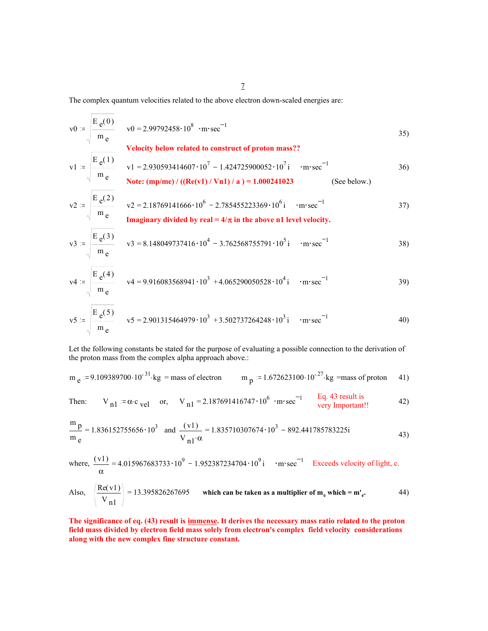The complex quantum velocities related to the above electron down-scaled energies are:

$$
v0 := \sqrt{\frac{E_e(0)}{m_e}} \qquad v0 = 2.99792458 \cdot 10^8 \quad \text{m} \cdot \text{sec}^{-1}
$$

**Velocity below related to construct of proton mass??**

v1 := 
$$
\sqrt{\frac{E_e(1)}{m_e}}
$$
 v1 = 2.930593414607 \cdot 10^7 - 1.424725900052 \cdot 10^7 i \cdot m \cdot sec^{-1}  
\n**Note:**  $(mp/me) / ((Re(v1) / Vn1) / a) = 1.000241023$  (See below.)

$$
v2 := \sqrt{\frac{E_e(2)}{m_e}} \qquad v2 = 2.18769141666 \cdot 10^6 - 2.785455223369 \cdot 10^6 i \qquad \text{m} \cdot \text{sec}^{-1} \tag{37}
$$
  
Imaginary divided by real =  $4/\pi$  in the above n1 level velocity.

$$
v3 := \sqrt{\frac{E_e(3)}{m_e}} \qquad v3 = 8.148049737416 \cdot 10^4 - 3.762568755791 \cdot 10^5 i \qquad \text{m} \cdot \text{sec}^{-1} \tag{38}
$$

$$
v4 := \sqrt{\frac{E_e(4)}{m_e}} \qquad v4 = 9.916083568941 \cdot 10^3 + 4.065290050528 \cdot 10^4 i \qquad \text{m} \cdot \text{sec}^{-1} \tag{39}
$$

$$
v5 := \sqrt{\frac{E_e(5)}{m_e}} \qquad v5 = 2.901315464979 \cdot 10^3 + 3.502737264248 \cdot 10^3 i \qquad \text{m} \cdot \text{sec}^{-1} \tag{40}
$$

Let the following constants be stated for the purpose of evaluating a possible connection to the derivation of the proton mass from the complex alpha approach above.:

m<sub>e</sub> := 9.109389700·10<sup>-31</sup> kg = mass of electron 
$$
m_p = 1.672623100·10^{-27} kg = mass of proton \t 41)
$$

Then: 
$$
V_{n1} := \alpha \cdot c_{vel}
$$
 or,  $V_{n1} = 2.187691416747 \cdot 10^6 \cdot m \cdot sec^{-1}$  Eq. 43 result is  
very Important!!

$$
\frac{m p}{m e} = 1.836152755656 \cdot 10^3 \quad \text{and} \quad \frac{(v1)}{V_{n1} \cdot \alpha} = 1.835710307674 \cdot 10^3 - 892.441785783225i \tag{43}
$$

where, 
$$
\frac{(v1)}{\alpha} = 4.015967683733 \cdot 10^9 - 1.952387234704 \cdot 10^9 \text{ i}
$$
  $\text{m} \cdot \text{sec}^{-1}$  Exceeds velocity of light, c.

Also, 
$$
\left(\frac{\text{Re}(v1)}{V_{n1}}\right) = 13.395826267695
$$
 which can be taken as a multiplier of m<sub>e</sub> which = m'<sub>e</sub>. 44)

**The significance of eq. (43) result is immense. It derives the necessary mass ratio related to the proton field mass divided by electron field mass solely from electron's complex field velocity considerations along with the new complex fine structure constant.**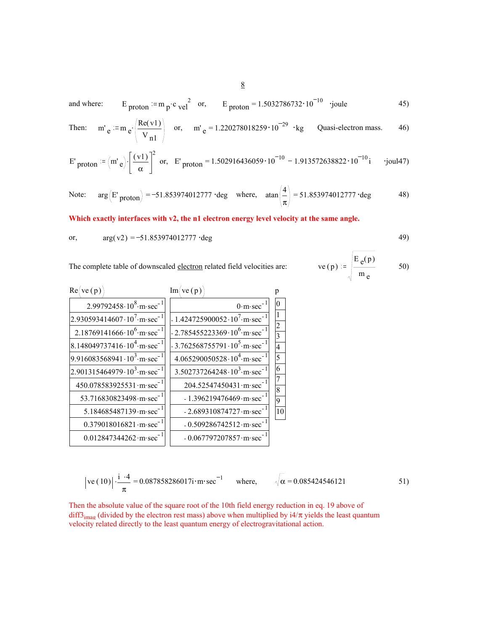and where: 
$$
E_{\text{proton}} = m_p \cdot c_{\text{vel}}^2
$$
 or,  $E_{\text{proton}} = 1.5032786732 \cdot 10^{-10}$  joule 45)

Then: 
$$
m'_{e} := m_{e'} \left( \frac{Re(v1)}{V_{n1}} \right)
$$
 or,  $m'_{e} = 1.220278018259 \cdot 10^{-29} \cdot kg$  Quasi-electron mass. 46)

$$
E' \text{ proton} = (m' e) \cdot \left[ \frac{(v1)}{\alpha} \right]^2 \text{ or, } E' \text{ proton} = 1.502916436059 \cdot 10^{-10} - 1.913572638822 \cdot 10^{-10} i \text{ (joul47)}
$$

Note: 
$$
arg(E' \text{ proton}) = -51.853974012777 \text{ deg} \text{ where, } tan(\frac{4}{\pi}) = 51.853974012777 \text{ deg}
$$
 48)

## **Which exactly interfaces with v2, the n1 electron energy level velocity at the same angle.**

or, 
$$
arg(v2) = -51.853974012777
$$
 deg

50)

 $E_e(p)$ m <sub>e</sub>

The complete table of downscaled electron related field velocities are:

| Re(ve(p))                                                                  | Im(ve(p))                                             |                |
|----------------------------------------------------------------------------|-------------------------------------------------------|----------------|
| $2.99792458 \cdot 10^8 \cdot m \cdot sec^{-1}$                             | $0 \cdot m \cdot \sec^{-1}$                           |                |
| 2.930593414607 $\cdot$ 10 <sup>7</sup> $\cdot$ m $\cdot$ sec <sup>-</sup>  | $-1.424725900052 \cdot 10^{7} \cdot m \cdot sec^{-1}$ | 2              |
| $2.18769141666 \cdot 10^{6}$ ·m·sec                                        | $-2.785455223369 \cdot 10^{6} \text{ m-sec}^{-1}$     | 3              |
| $8.148049737416 \cdot 10^{4} \text{ m-sec}$                                | $-3.762568755791 \cdot 10^5$ m · sec                  | $\overline{4}$ |
| 9.916083568941 $\cdot$ 10 <sup>3</sup> $\cdot$ m $\cdot$ sec <sup>-1</sup> | $4.065290050528 \cdot 10^4 \cdot m \cdot sec^{-1}$    | 5              |
| $2.901315464979 \cdot 10^{3} \text{ m} \cdot \text{sec}^{-1}$              | $3.502737264248 \cdot 10^{3} \cdot m \cdot sec^{-1}$  | 6              |
| 450.078583925531 · m · sec                                                 | $204.52547450431 \cdot m \cdot sec^{-1}$              | 8              |
| 53.716830823498 · m · sec                                                  | $-1.396219476469 \cdot m \cdot sec$                   | 9              |
| 5.184685487139 · m · sec                                                   | $-2.689310874727 \cdot m \cdot sec$                   | 10             |
| 0.379018016821 · m· sec                                                    | $-0.509286742512 \cdot m \cdot sec$                   |                |
| $0.012847344262 \cdot m \cdot sec$                                         | $-0.067797207857 \cdot m \cdot sec^{-1}$              |                |

$$
\left| \text{ve (10)} \right| \cdot \frac{\text{i} \cdot 4}{\pi} = 0.087858286017 \text{i} \cdot \text{m} \cdot \text{sec}^{-1} \qquad \text{where,} \qquad \sqrt{\alpha} = 0.085424546121 \qquad 51)
$$

Then the absolute value of the square root of the 10th field energy reduction in eq. 19 above of diff3<sub>imag</sub> (divided by the electron rest mass) above when multiplied by  $i4/\pi$  yields the least quantum velocity related directly to the least quantum energy of electrogravitational action.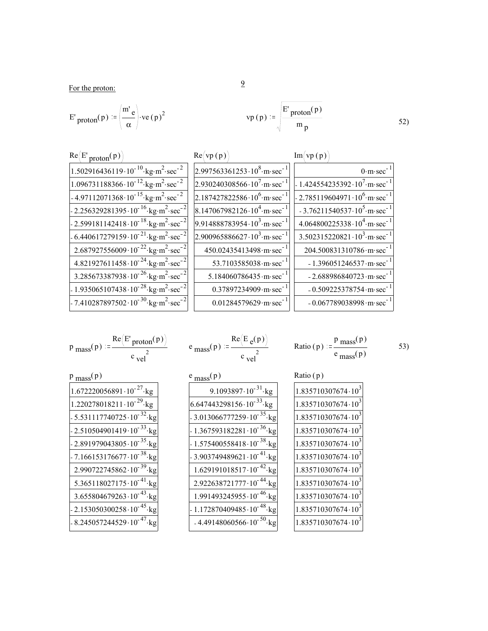For the proton: 9

$$
E' \text{ proton}(p) := \left(\frac{m' e}{\alpha}\right) \cdot ve(p)^2 \qquad \text{vp}(p) := \left(\frac{E' \text{ proton}(p)}{m_p}\right) \qquad \qquad 52)
$$

| $Re(E'_{proton}(p))$                                                  | Re(vp(p))                                                          | Im(vp(p))                                                           |
|-----------------------------------------------------------------------|--------------------------------------------------------------------|---------------------------------------------------------------------|
| $1.502916436119 \cdot 10^{-10}$ kg·m <sup>2</sup> ·sec <sup>-2</sup>  | $2.997563361253 \cdot 10^8 \cdot \text{m} \cdot \text{sec}^{-1}$   | $0 \cdot m \cdot \sec^{-1}$                                         |
| $1.096731188366 \cdot 10^{-12}$ kg·m <sup>2</sup> ·sec <sup>-2</sup>  | $2.930240308566 \cdot 10^{7} \text{ m-sec}^{-1}$                   | $-1.424554235392 \cdot 10^{7} \cdot \text{m} \cdot \text{sec}^{-1}$ |
| $-4.97112071368 \cdot 10^{-15}$ kg·m <sup>2</sup> ·sec <sup>-2</sup>  | $2.187427822586 \cdot 10^{6} \text{ m-sec}^{-1}$                   | $-2.785119604971 \cdot 10^{6}$ m sec <sup>-1</sup>                  |
| $-2.256329281395 \cdot 10^{-16}$ kg·m <sup>2</sup> ·sec <sup>-2</sup> | $8.147067982126 \cdot 10^4$ m sec                                  | $-3.76211540537 \cdot 10^5 \cdot m \cdot sec^{-1}$                  |
| $-2.599181142418 \cdot 10^{-18}$ kg·m <sup>2</sup> ·sec <sup>-2</sup> | 9.914888783954.10 <sup>3</sup> ·m·sec <sup>-1</sup>                | $4.064800225338 \cdot 10^4 \cdot m \cdot sec^{-1}$                  |
| $-6.440617279159 \cdot 10^{-21}$ kg·m <sup>2</sup> ·sec <sup>-2</sup> | $2.900965886627 \cdot 10^{3} \cdot \text{m} \cdot \text{sec}^{-1}$ | $3.502315220821 \cdot 10^{3} \cdot \text{m} \cdot \text{sec}^{-1}$  |
| $2.687927556009 \cdot 10^{-22}$ kg·m <sup>2</sup> ·sec <sup>-2</sup>  | 450.02435413498 · m · sec                                          | $204.500831310786 \cdot m \cdot sec^{-1}$                           |
| $4.821927611458 \cdot 10^{-24}$ kg·m <sup>2</sup> ·sec <sup>-2</sup>  | 53.7103585038 · m · sec                                            | $-1.396051246537 \cdot m \cdot sec^{-1}$                            |
| $3.285673387938 \cdot 10^{-26}$ kg·m <sup>2</sup> ·sec <sup>-2</sup>  | 5.184060786435 · m · sec                                           | $-2.688986840723 \cdot m \cdot sec^{-1}$                            |
| $-1.935065107438 \cdot 10^{-28}$ kg·m <sup>2</sup> ·sec <sup>-2</sup> | 0.37897234909 · m · sec                                            | $-0.509225378754 \cdot m \cdot sec^{-1}$                            |
| $-7.410287897502 \cdot 10^{-30}$ kg·m <sup>2</sup> ·sec <sup>-2</sup> | $0.01284579629 \cdot m \cdot sec^{-1}$                             | $-0.067789038998 \cdot m \cdot sec^{-1}$                            |

Ratio (p) := 
$$
\frac{p_{\text{mass}}(p)}{e_{\text{mass}}(p)}
$$
 53)

$$
e_{\text{mass}}(p) := \frac{\text{Re}(E_e(p))}{c_{\text{vel}}^2}
$$

$$
p_{\text{ mass}}(p) := \frac{\text{Re}(E'_{\text{proton}}(p))}{c_{\text{vel}}^2}
$$

| $e_{\text{mass}}(p)$                   | Ratio (p)                     |
|----------------------------------------|-------------------------------|
| 9.1093897 $\cdot 10^{-31}$ ·kg         | 1.835710307674.10             |
| $6.647443298156 \cdot 10^{-33}$ kg     | $1.835710307674\cdot 10^{3}$  |
| $-3.013066777259 \cdot 10^{-35}$ kg    | $1.835710307674\cdot 10^{3}$  |
| $-1.367593182281 \cdot 10^{-36}$ kg    | $1.835710307674\cdot 10^{3}$  |
| $-1.575400558418 \cdot 10^{-38}$ kg    | $1.835710307674 \cdot 10^{3}$ |
| $-3.903749489621 \cdot 10^{-41}$ kg    | $1.835710307674 \cdot 10^{3}$ |
| $1.629191018517 \cdot 10^{-42}$ kg     | 1.835710307674.10             |
| $2.922638721777 \cdot 10^{-44}$ ·kg    | $1.835710307674\cdot 10^{3}$  |
| 1.991493245955 · 10 <sup>-46</sup> ·kg | 1.835710307674.10             |
| $-1.172870409485 \cdot 10^{-48}$ kg    | $1.835710307674\cdot 10^{3}$  |
| $-4.49148060566 \cdot 10^{-50}$ kg     | $1.835710307674 \cdot 10^{3}$ |
|                                        |                               |

| ver                                                 |
|-----------------------------------------------------|
| $p_{\text{mass}}(p)$                                |
| $1.672220056891 \cdot 10^{-27}$ kg                  |
| $1.220278018211 \cdot 10^{-29}$ kg                  |
| $-5.531117740725 \cdot 10^{-32}$ kg                 |
| $-2.510504901419\cdot 10^{-33}\cdot$ kg             |
| $-2.891979043805 \cdot 10^{-35}$ kg                 |
| $-7.166153176677 \cdot 10^{-38}$ kg                 |
| 2.990722745862 $\cdot 10^{-39}$ kg                  |
| 5.365118027175 $\cdot$ 10 <sup>-41</sup> $\cdot$ kg |
| $3.655804679263 \cdot 10^{-43}$ kg                  |
| $-2.153050300258 \cdot 10^{-45}$ kg                 |
| $-8.245057244529 \cdot 10^{-47}$ kg                 |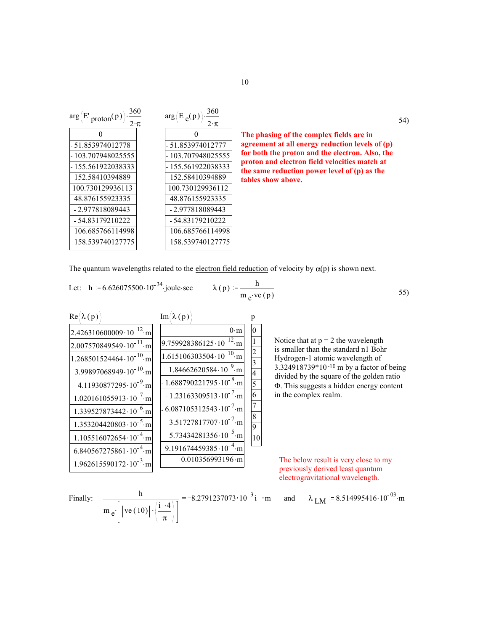| 360<br>$arg(E' \text{proton}(p)) \cdot \frac{36}{2}$ | 360<br>$arg(E_e(p))$<br>$2 \cdot \pi$ |  |
|------------------------------------------------------|---------------------------------------|--|
|                                                      |                                       |  |
| - 51.853974012778                                    | - 51.853974012777                     |  |
| - 103.707948025555                                   | 103.707948025555                      |  |
| - 155.561922038333                                   | - 155.561922038333                    |  |
| 152.58410394889                                      | 152.58410394889                       |  |
| 100.730129936113                                     | 100.730129936112                      |  |
| 48.876155923335                                      | 48.876155923335                       |  |
| $-2.977818089443$                                    | $-2.977818089443$                     |  |
| $-54.83179210222$                                    | $-54.83179210222$                     |  |
| - 106.685766114998                                   | 106.685766114998                      |  |
| - 158.539740127775                                   | 158.539740127775                      |  |
|                                                      |                                       |  |

| $arg(E_e(p))$       |
|---------------------|
| 0                   |
| - 51.853974012777   |
| - 103.707948025555  |
| 155.561922038333    |
| 152.58410394889     |
| 100.730129936112    |
| 48.876155923335     |
| $-2.977818089443$   |
| -54.83179210222     |
| $-106.685766114998$ |

**The phasing of the complex fields are in agreement at all energy reduction levels of (p) for both the proton and the electron. Also, the proton and electron field velocities match at the same reduction power level of (p) as the tables show above.**

The quantum wavelengths related to the electron field reduction of velocity by  $\alpha(p)$  is shown next.

Let: 
$$
h := 6.626075500 \cdot 10^{-34}
$$
. joule-sec  $\lambda(p) := \frac{h}{m_e \cdot ve(p)}$  55)

| Re( $\lambda(p)$ )                     | Im( $\lambda(p)$ )                     | p   |
|----------------------------------------|----------------------------------------|-----|
| 2.426310600009 · 10 <sup>-12</sup> · m | 0·m                                    | 0·m |
| 2.007570849549 · 10 <sup>-11</sup> · m | 9.759928386125 · 10 <sup>-12</sup> · m | 1   |
| 1.268501524464 · 10 <sup>-10</sup> · m | 1.615106303504 · 10 <sup>-10</sup> · m | 2   |
| 3.99897068949 · 10 <sup>-10</sup> · m  | 1.84662620584 · 10 <sup>-9</sup> · m   | 3   |
| 4.11930877295 · 10 <sup>-9</sup> · m   | 1.84662620584 · 10 <sup>-9</sup> · m   | 4   |
| 1.020161055913 · 10 <sup>-7</sup> · m  | -1.23163309513 · 10 <sup>-7</sup> · m  | 6   |
| 1.339527873442 · 10 <sup>-6</sup> · m  | -6.087105312543 · 10 <sup>-7</sup> · m | 6   |
| 1.353204420803 · 10 <sup>-5</sup> · m  | 3.51727817707 · 10 <sup>-7</sup> · m   | 8   |
| 1.105516072654 · 10 <sup>-4</sup> · m  | 5.73434281356 · 10 <sup>-5</sup> · m   | 9   |
| 6.840567275861                         |                                        |     |

Finally:  $\frac{h}{\sqrt{1-\frac{1}{2}}}$ 

 $m e^{-\left[\left|ve(10)\right| \cdot \left(\frac{i \cdot 4}{\pi}\right)\right]}$ 

Notice that at 
$$
p = 2
$$
 the wavelength  
is smaller than the standard n1 Bohr  
Hydrogen-1 atomic wavelength of  
3.324918739\*10<sup>-10</sup> m by a factor of being  
divided by the square of the golden ratio  
 $\Phi$ . This suggests a hidden energy content  
in the complex realm.

The below result is very close to my previously derived least quantum electrogravitational wavelength.

$$
\frac{1}{1} = -8.2791237073 \cdot 10^{-3} \text{ i} \cdot \text{m} \qquad \text{and} \qquad \lambda_{LM} = 8.514995416 \cdot 10^{-03} \cdot \text{m}
$$

54)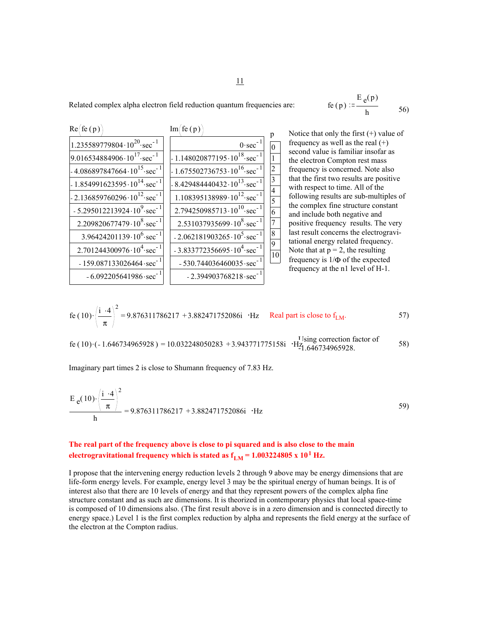Related complex alpha electron field reduction quantum frequencies are: fe

$$
e(p) = \frac{E_e(p)}{h}
$$
 56)



fe (10) 
$$
\cdot \left(\frac{\mathbf{i} \cdot 4}{\pi}\right)^2 = 9.876311786217 + 3.882471752086\mathbf{i} \cdot Hz
$$
 Real part is close to f<sub>LM</sub>. 57)  
fe (10)  $\cdot (-1.646734965928) = 10.032248050283 + 3.943771775158\mathbf{i} \cdot \frac{\mathbf{I}^{\text{Ising correction factor of}}}{\mathbf{H}_{21.646734965928}}.$ 

Imaginary part times 2 is close to Shumann frequency of 7.83 Hz.

$$
\frac{E_e(10) \cdot \left(\frac{i}{\pi}\right)^2}{h} = 9.876311786217 + 3.882471752086i \cdot Hz
$$
 59)

# **The real part of the frequency above is close to pi squared and is also close to the main**  electrogravitational frequency which is stated as  $f_{LM} = 1.003224805 \times 10^{1}$  Hz.

I propose that the intervening energy reduction levels 2 through 9 above may be energy dimensions that are life-form energy levels. For example, energy level 3 may be the spiritual energy of human beings. It is of interest also that there are 10 levels of energy and that they represent powers of the complex alpha fine structure constant and as such are dimensions. It is theorized in contemporary physics that local space-time is composed of 10 dimensions also. (The first result above is in a zero dimension and is connected directly to energy space.) Level 1 is the first complex reduction by alpha and represents the field energy at the surface of the electron at the Compton radius.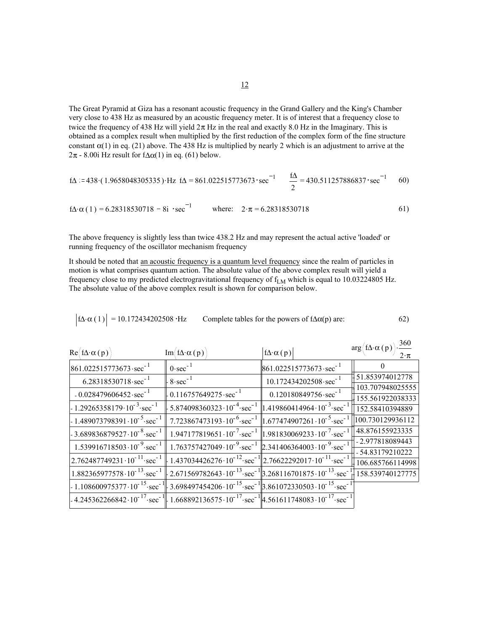The Great Pyramid at Giza has a resonant acoustic frequency in the Grand Gallery and the King's Chamber very close to 438 Hz as measured by an acoustic frequency meter. It is of interest that a frequency close to twice the frequency of 438 Hz will yield  $2\pi$  Hz in the real and exactly 8.0 Hz in the Imaginary. This is obtained as a complex result when multiplied by the first reduction of the complex form of the fine structure constant  $\alpha(1)$  in eq. (21) above. The 438 Hz is multiplied by nearly 2 which is an adjustment to arrive at the  $2\pi$  - 8.00i Hz result for f $\Delta\alpha(1)$  in eq. (61) below.

$$
f\Delta := 438 \cdot (1.9658048305335) \cdot Hz \quad f\Delta = 861.022515773673 \cdot \sec^{-1} \qquad \frac{f\Delta}{2} = 430.511257886837 \cdot \sec^{-1} \qquad 60)
$$

$$
f\Delta \cdot \alpha (1) = 6.28318530718 - 8i \cdot \sec^{-1} \qquad \text{where:} \quad 2 \cdot \pi = 6.28318530718 \tag{61}
$$

The above frequency is slightly less than twice 438.2 Hz and may represent the actual active 'loaded' or running frequency of the oscillator mechanism frequency

It should be noted that an acoustic frequency is a quantum level frequency since the realm of particles in motion is what comprises quantum action. The absolute value of the above complex result will yield a frequency close to my predicted electrogravitational frequency of  $f_{LM}$  which is equal to 10.03224805 Hz. The absolute value of the above complex result is shown for comparison below.

| $ f\Delta \cdot \alpha(1)  = 10.172434202508 \cdot Hz$ | Complete tables for the powers of $f\Delta\alpha(p)$ are: | 62) |
|--------------------------------------------------------|-----------------------------------------------------------|-----|
|--------------------------------------------------------|-----------------------------------------------------------|-----|

| $Re(f\Delta \cdot \alpha(p))$                         | $Im(f\Delta \cdot \alpha(p))$                                                                                                 | $f\Delta \cdot \alpha(p)$ |                                                  | 360<br>$arg(f\Delta \cdot \alpha(p))$<br>$2 \cdot \pi$ |
|-------------------------------------------------------|-------------------------------------------------------------------------------------------------------------------------------|---------------------------|--------------------------------------------------|--------------------------------------------------------|
| $861.022515773673 \cdot \text{sec}^{-1}$              | $0\text{-sec}^{-1}$                                                                                                           |                           | 861.022515773673 · sec <sup>-1</sup>             |                                                        |
| $6.28318530718 \cdot \sec^{-1}$                       | $-8\cdot \sec^{-1}$                                                                                                           |                           | $10.172434202508 \cdot \sec^{-1}$                | 51.853974012778                                        |
| $-0.028479606452 \cdot \sec^{-1}$                     | $\big  0.116757649275 \cdot \sec^{-1}$                                                                                        |                           | $0.120180849756 \cdot \sec^{-1}$                 | 103.707948025555                                       |
| $-1.29265358179 \cdot 10^{-3} \cdot \text{sec}^{-1}$  | $5.874098360323 \cdot 10^{-4} \text{ sec}^{-1}$                                                                               |                           | $1.419860414964 \cdot 10^{-3}$ sec <sup>-1</sup> | 155.561922038333                                       |
|                                                       |                                                                                                                               |                           |                                                  | 152.58410394889                                        |
| $-1.489073798391 \cdot 10^{-5}$ sec <sup>-1</sup>     | $7.723867473193 \cdot 10^{-6}$ sec <sup>-1</sup>                                                                              |                           | $1.677474907261 \cdot 10^{-5}$ sec <sup>-1</sup> | 100.730129936112                                       |
| $-3.689836879527 \cdot 10^{-8}$ sec <sup>-1</sup>     | $1.947177819651 \cdot 10^{-7} \sec^{-1}$                                                                                      |                           | $1.981830069233 \cdot 10^{-7}$ sec <sup>-1</sup> | 48.876155923335                                        |
| $1.539916718503 \cdot 10^{-9}$ sec <sup>-1</sup>      | $1.763757427049 \cdot 10^{-9}$ sec <sup>-1</sup> 2.341406364003 · 10 <sup>-9</sup> sec <sup>-1</sup>                          |                           |                                                  | -2.977818089443                                        |
| $2.762487749231 \cdot 10^{-11}$ sec                   | 1.437034426276·10 <sup>-12</sup> ·sec <sup>-1</sup>   2.76622292017·10 <sup>-11</sup> ·sec <sup>-1</sup>                      |                           |                                                  | $-54.83179210222$<br>106.685766114998                  |
| $1.882365977578 \cdot 10^{-13} \cdot \text{sec}^{-1}$ | 2.671569782643 · 10 <sup>-13</sup> · sec <sup>-1</sup>   3.268116701875 · 10 <sup>-13</sup> · sec <sup>-1</sup>               |                           |                                                  | 158.539740127775                                       |
| $-1.108600975377 \cdot 10^{-15}$ sec <sup>-1</sup>    | $\frac{1}{2}$ 3.698497454206 · 10 <sup>-15</sup> · sec <sup>-1</sup> 3.861072330503 · 10 <sup>-15</sup> · sec <sup>-1</sup>   |                           |                                                  |                                                        |
| $4.245362266842 \cdot 10^{-17}$ sec                   | <sup>1</sup>   1.668892136575 · 10 <sup>-17</sup> · sec <sup>-1 </sup> 4.561611748083 · 10 <sup>-17</sup> · sec <sup>-1</sup> |                           |                                                  |                                                        |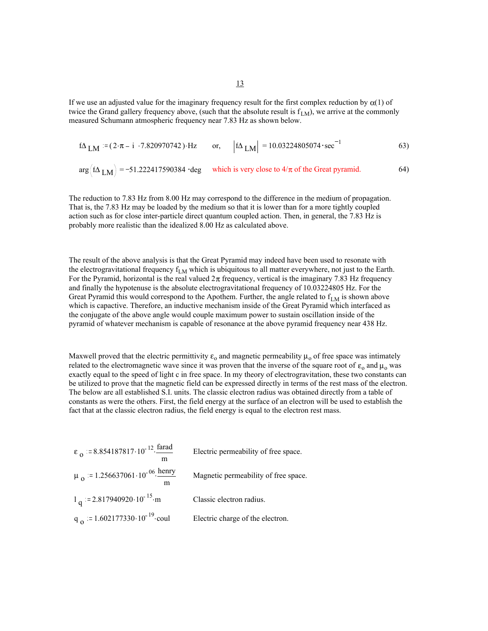If we use an adjusted value for the imaginary frequency result for the first complex reduction by  $\alpha(1)$  of twice the Grand gallery frequency above, (such that the absolute result is  $f_{LM}$ ), we arrive at the commonly measured Schumann atmospheric frequency near 7.83 Hz as shown below.

$$
f\Delta_{LM} = (2 \cdot \pi - i \cdot 7.820970742) \cdot Hz \qquad \text{or,} \qquad \left| f\Delta_{LM} \right| = 10.03224805074 \cdot \sec^{-1} \tag{63}
$$

$$
\arg\left(\frac{f\Delta_{LM}}{LM}\right) = -51.222417590384 \cdot \text{deg} \quad \text{which is very close to } 4/\pi \text{ of the Great pyramid.} \tag{4}
$$

The reduction to 7.83 Hz from 8.00 Hz may correspond to the difference in the medium of propagation. That is, the 7.83 Hz may be loaded by the medium so that it is lower than for a more tightly coupled action such as for close inter-particle direct quantum coupled action. Then, in general, the 7.83 Hz is probably more realistic than the idealized 8.00 Hz as calculated above.

The result of the above analysis is that the Great Pyramid may indeed have been used to resonate with the electrogravitational frequency  $f_{LM}$  which is ubiquitous to all matter everywhere, not just to the Earth. For the Pyramid, horizontal is the real valued  $2\pi$  frequency, vertical is the imaginary 7.83 Hz frequency and finally the hypotenuse is the absolute electrogravitational frequency of 10.03224805 Hz. For the Great Pyramid this would correspond to the Apothem. Further, the angle related to  $f_{LM}$  is shown above which is capactive. Therefore, an inductive mechanism inside of the Great Pyramid which interfaced as the conjugate of the above angle would couple maximum power to sustain oscillation inside of the pyramid of whatever mechanism is capable of resonance at the above pyramid frequency near 438 Hz.

Maxwell proved that the electric permittivity  $\varepsilon_0$  and magnetic permeability  $\mu_0$  of free space was intimately related to the electromagnetic wave since it was proven that the inverse of the square root of  $\varepsilon_0$  and  $\mu_0$  was exactly equal to the speed of light c in free space. In my theory of electrogravitation, these two constants can be utilized to prove that the magnetic field can be expressed directly in terms of the rest mass of the electron. The below are all established S.I. units. The classic electron radius was obtained directly from a table of constants as were the others. First, the field energy at the surface of an electron will be used to establish the fact that at the classic electron radius, the field energy is equal to the electron rest mass.

$$
\varepsilon_0 := 8.854187817 \cdot 10^{-12} \cdot \frac{\text{farad}}{\text{m}}
$$
 Electric permeability of free space.  
\n
$$
\mu_0 := 1.256637061 \cdot 10^{-06} \cdot \frac{\text{herry}}{\text{m}}
$$
 Magnetic permeability of free space.  
\n
$$
1_q := 2.817940920 \cdot 10^{-15} \cdot \text{m}
$$
 Classic electron radius.  
\n
$$
q_0 := 1.602177330 \cdot 10^{-19} \cdot \text{coul}
$$
 Electric charge of the electron.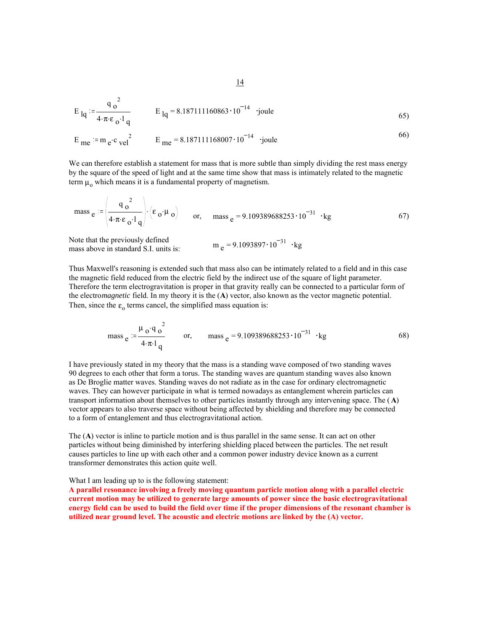$$
E_{lq} = \frac{q_0^2}{4 \cdot \pi \epsilon_0 \cdot l_q}
$$
  $E_{lq} = 8.187111160863 \cdot 10^{-14}$  'joule (65)

$$
E_{\text{me}} := m_e \cdot c_{\text{vel}}^2
$$
  $E_{\text{me}} = 8.187111168007 \cdot 10^{-14}$  'joule

We can therefore establish a statement for mass that is more subtle than simply dividing the rest mass energy by the square of the speed of light and at the same time show that mass is intimately related to the magnetic term  $\mu_0$  which means it is a fundamental property of magnetism.

mass 
$$
e := \left(\frac{q_0^2}{4 \cdot \pi \epsilon_0 \cdot l_q}\right) \cdot (\epsilon_0 \cdot \mu_0)
$$
 or, mass  $e = 9.109389688253 \cdot 10^{-31}$  \cdot kg (67)

Note that the previously defined Note that the previously defined<br>mass above in standard S.I. units is:  $m e^{1.5} = 9.1093897 \cdot 10^{-31}$  · kg

Thus Maxwell's reasoning is extended such that mass also can be intimately related to a field and in this case the magnetic field reduced from the electric field by the indirect use of the square of light parameter. Therefore the term electrogravitation is proper in that gravity really can be connected to a particular form of the electro*magnetic* field. In my theory it is the (**A**) vector, also known as the vector magnetic potential. Then, since the  $\varepsilon_0$  terms cancel, the simplified mass equation is:

mass 
$$
e = \frac{\mu_0 \cdot q_0^2}{4 \cdot \pi \cdot l_q}
$$
 or, mass  $e = 9.109389688253 \cdot 10^{-31}$  · kg (68)

I have previously stated in my theory that the mass is a standing wave composed of two standing waves 90 degrees to each other that form a torus. The standing waves are quantum standing waves also known as De Broglie matter waves. Standing waves do not radiate as in the case for ordinary electromagnetic waves. They can however participate in what is termed nowadays as entanglement wherein particles can transport information about themselves to other particles instantly through any intervening space. The (**A**) vector appears to also traverse space without being affected by shielding and therefore may be connected to a form of entanglement and thus electrogravitational action.

The (**A**) vector is inline to particle motion and is thus parallel in the same sense. It can act on other particles without being diminished by interfering shielding placed between the particles. The net result causes particles to line up with each other and a common power industry device known as a current transformer demonstrates this action quite well.

#### What I am leading up to is the following statement:

**A parallel resonance involving a freely moving quantum particle motion along with a parallel electric current motion may be utilized to generate large amounts of power since the basic electrogravitational energy field can be used to build the field over time if the proper dimensions of the resonant chamber is utilized near ground level. The acoustic and electric motions are linked by the (A) vector.**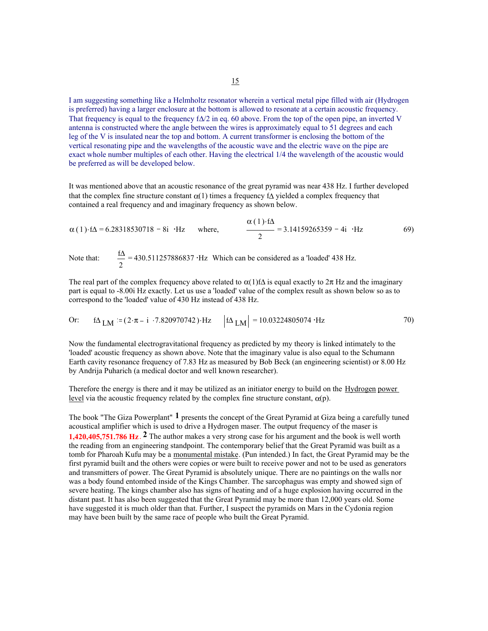I am suggesting something like a Helmholtz resonator wherein a vertical metal pipe filled with air (Hydrogen is preferred) having a larger enclosure at the bottom is allowed to resonate at a certain acoustic frequency. That frequency is equal to the frequency f∆/2 in eq. 60 above. From the top of the open pipe, an inverted V antenna is constructed where the angle between the wires is approximately equal to 51 degrees and each leg of the V is insulated near the top and bottom. A current transformer is enclosing the bottom of the vertical resonating pipe and the wavelengths of the acoustic wave and the electric wave on the pipe are exact whole number multiples of each other. Having the electrical 1/4 the wavelength of the acoustic would be preferred as will be developed below.

It was mentioned above that an acoustic resonance of the great pyramid was near 438 Hz. I further developed that the complex fine structure constant  $\alpha(1)$  times a frequency f $\Delta$  yielded a complex frequency that contained a real frequency and and imaginary frequency as shown below.

$$
\alpha(1) \cdot \text{f}\Delta = 6.28318530718 - 8i \cdot \text{Hz}
$$
 where,  $\frac{\alpha(1) \cdot \text{f}\Delta}{2} = 3.14159265359 - 4i \cdot \text{Hz}$  69)

Note that: 2 430.511257886837 Hz Which can be considered as a 'loaded' 438 Hz.

The real part of the complex frequency above related to  $\alpha(1)f\Delta$  is equal exactly to  $2\pi$  Hz and the imaginary part is equal to -8.00i Hz exactly. Let us use a 'loaded' value of the complex result as shown below so as to correspond to the 'loaded' value of 430 Hz instead of 438 Hz.

Or: 
$$
f\Delta_{LM} = (2 \cdot \pi - i \cdot 7.820970742) \cdot Hz
$$
  $|f\Delta_{LM}| = 10.03224805074 \cdot Hz$  70)

Now the fundamental electrogravitational frequency as predicted by my theory is linked intimately to the 'loaded' acoustic frequency as shown above. Note that the imaginary value is also equal to the Schumann Earth cavity resonance frequency of 7.83 Hz as measured by Bob Beck (an engineering scientist) or 8.00 Hz by Andrija Puharich (a medical doctor and well known researcher).

Therefore the energy is there and it may be utilized as an initiator energy to build on the Hydrogen power level via the acoustic frequency related by the complex fine structure constant,  $α(p)$ .

The book "The Giza Powerplant" **1** presents the concept of the Great Pyramid at Giza being a carefully tuned acoustical amplifier which is used to drive a Hydrogen maser. The output frequency of the maser is **1,420,405,751.786 Hz**. **2** The author makes a very strong case for his argument and the book is well worth the reading from an engineering standpoint. The contemporary belief that the Great Pyramid was built as a tomb for Pharoah Kufu may be a monumental mistake. (Pun intended.) In fact, the Great Pyramid may be the first pyramid built and the others were copies or were built to receive power and not to be used as generators and transmitters of power. The Great Pyramid is absolutely unique. There are no paintings on the walls nor was a body found entombed inside of the Kings Chamber. The sarcophagus was empty and showed sign of severe heating. The kings chamber also has signs of heating and of a huge explosion having occurred in the distant past. It has also been suggested that the Great Pyramid may be more than 12,000 years old. Some have suggested it is much older than that. Further, I suspect the pyramids on Mars in the Cydonia region may have been built by the same race of people who built the Great Pyramid.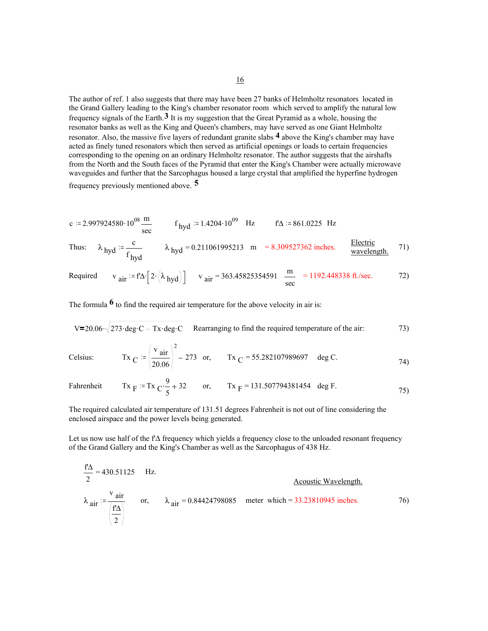The author of ref. 1 also suggests that there may have been 27 banks of Helmholtz resonators located in the Grand Gallery leading to the King's chamber resonator room which served to amplify the natural low frequency signals of the Earth.**3** It is my suggestion that the Great Pyramid as a whole, housing the resonator banks as well as the King and Queen's chambers, may have served as one Giant Helmholtz resonator. Also, the massive five layers of redundant granite slabs **4** above the King's chamber may have acted as finely tuned resonators which then served as artificial openings or loads to certain frequencies corresponding to the opening on an ordinary Helmholtz resonator. The author suggests that the airshafts from the North and the South faces of the Pyramid that enter the King's Chamber were actually microwave waveguides and further that the Sarcophagus housed a large crystal that amplified the hyperfine hydrogen frequency previously mentioned above. **5**

c := 2.997924580·10<sup>08</sup> 
$$
\frac{m}{\text{sec}}
$$
  $f_{\text{hyd}} = 1.4204·10^{09}$  Hz  $f \Delta = 861.0225$  Hz

Thus: 
$$
\lambda_{\text{hyd}} := \frac{c}{f_{\text{hyd}}} \lambda_{\text{hyd}} = 0.211061995213 \text{ m} = 8.309527362 \text{ inches.}
$$
 Electric wavelength. 71)

Required 
$$
v_{air} = f\Delta \left[ 2 \cdot (\lambda_{hyd}) \right]
$$
  $v_{air} = 363.45825354591 \frac{m}{sec} = 1192.448338 \text{ ft/sec.}$  72)

The formula  $\mathbf{6}$  to find the required air temperature for the above velocity in air is:

$$
V=20.06 \cdot \sqrt{273 \cdot \text{deg} \cdot C + Tx \cdot \text{deg} \cdot C}
$$
 Rearranging to find the required temperature of the air: 73)

Celsius: 
$$
\text{Tx}_{\text{C}} := \left(\frac{\text{v}_{\text{air}}}{20.06}\right)^2 - 273 \text{ or,} \qquad \text{Tx}_{\text{C}} = 55.282107989697 \text{ deg C.}
$$

Fahrenheit 
$$
Tx_F := Tx_C \cdot \frac{9}{5} + 32
$$
 or,  $Tx_F = 131.507794381454$  deg F. (75)

The required calculated air temperature of 131.51 degrees Fahrenheit is not out of line considering the enclosed airspace and the power levels being generated.

Let us now use half of the f'∆ frequency which yields a frequency close to the unloaded resonant frequency of the Grand Gallery and the King's Chamber as well as the Sarcophagus of 438 Hz.

$$
\frac{f\Delta}{2} = 430.51125 \text{ Hz.}
$$
  
\n
$$
\lambda_{\text{air}} := \frac{v_{\text{air}}}{\frac{f\Delta}{2}}
$$
 or,  $\lambda_{\text{air}} = 0.84424798085$  meter which = 33.23810945 inches.

16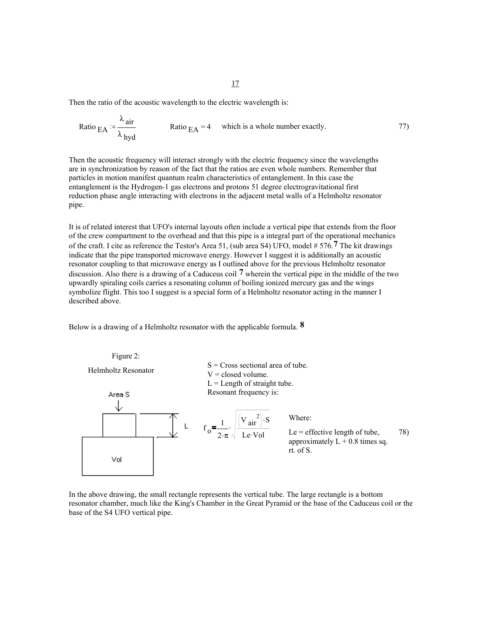Then the ratio of the acoustic wavelength to the electric wavelength is:

Ratio 
$$
EA := \frac{\lambda_{air}}{\lambda_{hyd}}
$$
 Ratio  $EA = 4$  which is a whole number exactly.

Then the acoustic frequency will interact strongly with the electric frequency since the wavelengths are in synchronization by reason of the fact that the ratios are even whole numbers. Remember that particles in motion manifest quantum realm characteristics of entanglement. In this case the entanglement is the Hydrogen-1 gas electrons and protons 51 degree electrogravitational first reduction phase angle interacting with electrons in the adjacent metal walls of a Helmholtz resonator pipe.

It is of related interest that UFO's internal layouts often include a vertical pipe that extends from the floor of the crew compartment to the overhead and that this pipe is a integral part of the operational mechanics of the craft. I cite as reference the Testor's Area 51, (sub area S4) UFO, model # 576.**7** The kit drawings indicate that the pipe transported microwave energy. However I suggest it is additionally an acoustic resonator coupling to that microwave energy as I outlined above for the previous Helmholtz resonator discussion. Also there is a drawing of a Caduceus coil **7** wherein the vertical pipe in the middle of the two upwardly spiraling coils carries a resonating column of boiling ionized mercury gas and the wings symbolize flight. This too I suggest is a special form of a Helmholtz resonator acting in the manner I described above.

Below is a drawing of a Helmholtz resonator with the applicable formula. **8**



In the above drawing, the small rectangle represents the vertical tube. The large rectangle is a bottom resonator chamber, much like the King's Chamber in the Great Pyramid or the base of the Caduceus coil or the base of the S4 UFO vertical pipe.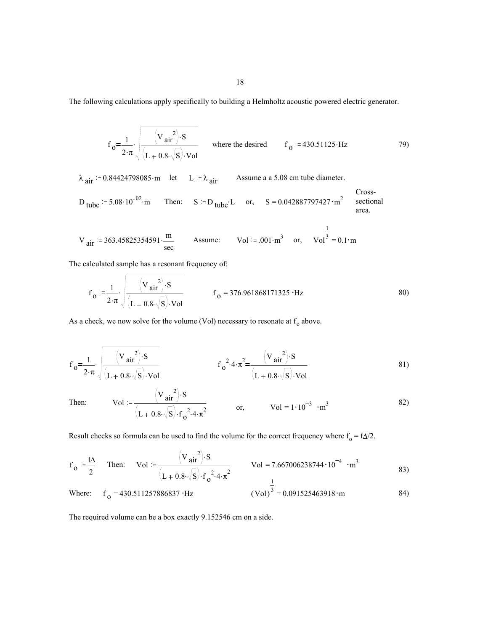The following calculations apply specifically to building a Helmholtz acoustic powered electric generator.

$$
f_0 = \frac{1}{2 \cdot \pi} \sqrt{\frac{(V_{air}^2) \cdot S}{(L + 0.8 \cdot \sqrt{S}) \cdot Vol}}
$$
 where the desired  $f_0 := 430.51125 \cdot Hz$  79)

 $\lambda$  air = 0.84424798085 m let L =  $\lambda$  air Assume a a 5.08 cm tube diameter.

$$
D_{\text{tube}} = 5.08 \cdot 10^{-02} \cdot m \qquad \text{Then:} \qquad S := D_{\text{tube}} \cdot L \qquad \text{or,} \qquad S = 0.042887797427 \cdot m^2 \qquad \text{sectional} \qquad \text{area.}
$$

$$
V_{air} = 363.45825354591 \cdot \frac{m}{sec}
$$
 Assume:  $Vol = .001 \cdot m^3$  or,  $Vol^{\frac{1}{3}} = 0.1 \cdot m$ 

The calculated sample has a resonant frequency of:

$$
f_o := \frac{1}{2 \cdot \pi} \sqrt{\frac{(V_{air})^2}{(L + 0.8 \cdot \sqrt{S}) \cdot Vol}}
$$
  $f_o = 376.961868171325 \cdot Hz$  80)

As a check, we now solve for the volume (Vol) necessary to resonate at  $f_0$  above.

$$
f_0 = \frac{1}{2 \cdot \pi} \sqrt{\frac{(V_{air})^2 S}{(L + 0.8 \cdot \sqrt{S}) \cdot Vol}}
$$
 
$$
f_0^2 \cdot 4 \cdot \pi^2 = \frac{(V_{air})^2 S}{(L + 0.8 \cdot \sqrt{S}) \cdot Vol}
$$
 (81)

Then: 
$$
\text{Vol} := \frac{(\text{V}_{\text{air}}^2) \cdot \text{S}}{(\text{L} + 0.8 \cdot \sqrt{\text{S}}) \cdot \text{f}_0^2 \cdot 4 \cdot \pi^2}
$$
 or,  $\text{Vol} = 1 \cdot 10^{-3} \cdot \text{m}^3$  82)

Result checks so formula can be used to find the volume for the correct frequency where  $f_0 = f \Delta/2$ .

$$
f_o := \frac{f\Delta}{2}
$$
 Then: Vol :=  $\frac{(V_{air}^2) \cdot S}{(L + 0.8 \cdot \sqrt{S}) \cdot f_o^2 \cdot 4 \cdot \pi^2}$  Vol = 7.667006238744 \cdot 10<sup>-4</sup> \cdot m<sup>3</sup>

Where: 
$$
f_0 = 430.511257886837 \cdot Hz
$$
 (Vol)<sup>3</sup> = 0.091525463918 \cdot m

The required volume can be a box exactly 9.152546 cm on a side.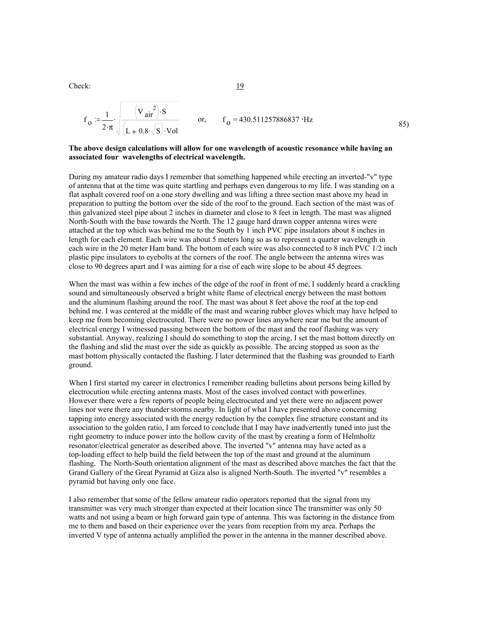Check: 19

$$
f_o := \frac{1}{2 \cdot \pi} \sqrt{\frac{(V_{air})^2 S}{(L + 0.8 \cdot \sqrt{S}) \cdot Vol}}
$$
 or,  $f_o = 430.511257886837 \cdot Hz$  (85)

## **The above design calculations will allow for one wavelength of acoustic resonance while having an associated four wavelengths of electrical wavelength.**

During my amateur radio days I remember that something happened while erecting an inverted-"v" type of antenna that at the time was quite startling and perhaps even dangerous to my life. I was standing on a flat asphalt covered roof on a one story dwelling and was lifting a three section mast above my head in preparation to putting the bottom over the side of the roof to the ground. Each section of the mast was of thin galvanized steel pipe about 2 inches in diameter and close to 8 feet in length. The mast was aligned North-South with the base towards the North. The 12 gauge hard drawn copper antenna wires were attached at the top which was behind me to the South by 1 inch PVC pipe insulators about 8 inches in length for each element. Each wire was about 5 meters long so as to represent a quarter wavelength in each wire in the 20 meter Ham band. The bottom of each wire was also connected to 8 inch PVC 1/2 inch plastic pipe insulators to eyebolts at the corners of the roof. The angle between the antenna wires was close to 90 degrees apart and I was aiming for a rise of each wire slope to be about 45 degrees.

When the mast was within a few inches of the edge of the roof in front of me, I suddenly heard a crackling sound and simultaneously observed a bright white flame of electrical energy between the mast bottom and the aluminum flashing around the roof. The mast was about 8 feet above the roof at the top end behind me. I was centered at the middle of the mast and wearing rubber gloves which may have helped to keep me from becoming electrocuted. There were no power lines anywhere near me but the amount of electrical energy I witnessed passing between the bottom of the mast and the roof flashing was very substantial. Anyway, realizing I should do something to stop the arcing, I set the mast bottom directly on the flashing and slid the mast over the side as quickly as possible. The arcing stopped as soon as the mast bottom physically contacted the flashing. I later determined that the flashing was grounded to Earth ground.

When I first started my career in electronics I remember reading bulletins about persons being killed by electrocution while erecting antenna masts. Most of the cases involved contact with powerlines. However there were a few reports of people being electrocuted and yet there were no adjacent power lines nor were there any thunder storms nearby. In light of what I have presented above concerning tapping into energy associated with the energy reduction by the complex fine structure constant and its association to the golden ratio, I am forced to conclude that I may have inadvertently tuned into just the right geometry to induce power into the hollow cavity of the mast by creating a form of Helmholtz resonator/electrical generator as described above. The inverted "v" antenna may have acted as a top-loading effect to help build the field between the top of the mast and ground at the aluminum flashing. The North-South orientation alignment of the mast as described above matches the fact that the Grand Gallery of the Great Pyramid at Giza also is aligned North-South. The inverted "v" resembles a pyramid but having only one face.

I also remember that some of the fellow amateur radio operators reported that the signal from my transmitter was very much stronger than expected at their location since The transmitter was only 50 watts and not using a beam or high forward gain type of antenna. This was factoring in the distance from me to them and based on their experience over the years from reception from my area. Perhaps the inverted V type of antenna actually amplified the power in the antenna in the manner described above.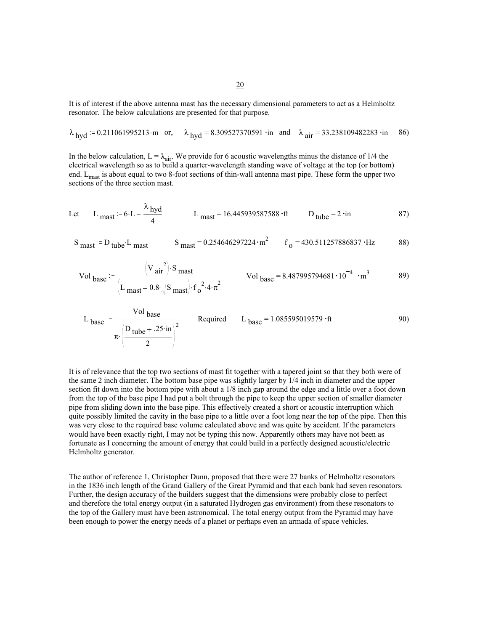It is of interest if the above antenna mast has the necessary dimensional parameters to act as a Helmholtz resonator. The below calculations are presented for that purpose.

$$
\lambda_{\text{hyd}} := 0.211061995213 \cdot m \quad \text{or}, \quad \lambda_{\text{hyd}} = 8.309527370591 \cdot in \quad \text{and} \quad \lambda_{\text{air}} = 33.238109482283 \cdot in \quad 86)
$$

In the below calculation,  $L = \lambda_{air}$ . We provide for 6 acoustic wavelengths minus the distance of 1/4 the electrical wavelength so as to build a quarter-wavelength standing wave of voltage at the top (or bottom) end. L<sub>mast</sub> is about equal to two 8-foot sections of thin-wall antenna mast pipe. These form the upper two sections of the three section mast.

Let 
$$
L_{\text{max}} = 6 \cdot L - \frac{\lambda_{\text{hyd}}}{4}
$$
  $L_{\text{max}} = 16.445939587588 \cdot ft$   $D_{\text{tube}} = 2 \cdot in$  87)

$$
S_{\text{mast}} := D_{\text{tube}} \cdot L_{\text{mast}} \qquad S_{\text{mast}} = 0.254646297224 \cdot m^2 \qquad f_{\text{o}} = 430.511257886837 \cdot Hz \qquad 88)
$$

Vol base := 
$$
\frac{V \text{ air}^2}{(L_{\text{max}} + 0.8 \sqrt{S_{\text{max}}}) \cdot f_0^2 \cdot 4 \cdot \pi^2}
$$
 Vol base = 8.487995794681 \cdot 10<sup>-4</sup> \cdot m<sup>3</sup> 89)

$$
L_{\text{base}} := \frac{\text{Vol}_{\text{base}}}{\pi \left( \frac{\text{D}_{\text{tube}} + .25 \cdot \text{in}}{2} \right)^2}
$$
 Required  $L_{\text{base}} = 1.085595019579 \cdot \text{ft}$  90)

It is of relevance that the top two sections of mast fit together with a tapered joint so that they both were of the same 2 inch diameter. The bottom base pipe was slightly larger by 1/4 inch in diameter and the upper section fit down into the bottom pipe with about a 1/8 inch gap around the edge and a little over a foot down from the top of the base pipe I had put a bolt through the pipe to keep the upper section of smaller diameter pipe from sliding down into the base pipe. This effectively created a short or acoustic interruption which quite possibly limited the cavity in the base pipe to a little over a foot long near the top of the pipe. Then this was very close to the required base volume calculated above and was quite by accident. If the parameters would have been exactly right, I may not be typing this now. Apparently others may have not been as fortunate as I concerning the amount of energy that could build in a perfectly designed acoustic/electric Helmholtz generator.

The author of reference 1, Christopher Dunn, proposed that there were 27 banks of Helmholtz resonators in the 1836 inch length of the Grand Gallery of the Great Pyramid and that each bank had seven resonators. Further, the design accuracy of the builders suggest that the dimensions were probably close to perfect and therefore the total energy output (in a saturated Hydrogen gas environment) from these resonators to the top of the Gallery must have been astronomical. The total energy output from the Pyramid may have been enough to power the energy needs of a planet or perhaps even an armada of space vehicles.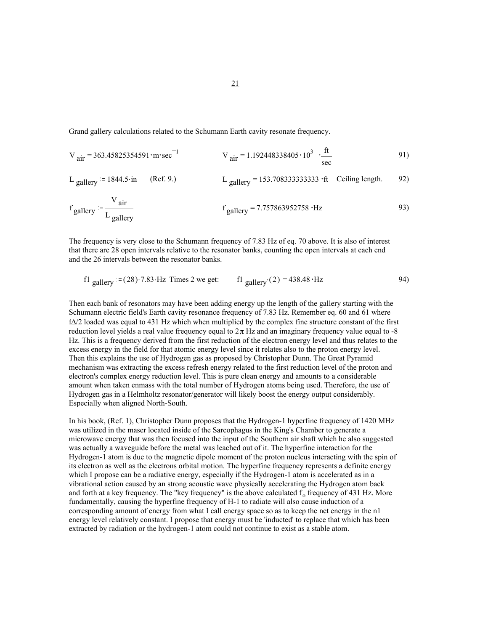Grand gallery calculations related to the Schumann Earth cavity resonate frequency.

$$
V_{air} = 363.45825354591 \cdot m \cdot sec^{-1}
$$
\n
$$
V_{air} = 1.192448338405 \cdot 10^{3} \cdot \frac{ft}{sec}
$$
\n
$$
91)
$$

$$
L_{\text{gallery}} = 1844.5 \cdot \text{in} \quad \text{(Ref. 9.)}
$$
\n
$$
L_{\text{gallery}} = 153.708333333333 \cdot \text{ft} \quad \text{Ceiling length.}
$$

$$
f_{\text{gallery}} = \frac{V_{\text{air}}}{L_{\text{gallery}}} \qquad f_{\text{gallery}} = 7.757863952758 \cdot Hz \qquad (93)
$$

The frequency is very close to the Schumann frequency of 7.83 Hz of eq. 70 above. It is also of interest that there are 28 open intervals relative to the resonator banks, counting the open intervals at each end and the 26 intervals between the resonator banks.

$$
f1_{\text{gallery}} = (28) \cdot 7.83 \cdot \text{Hz} \quad \text{Times 2 we get:} \qquad f1_{\text{gallery}}(2) = 438.48 \cdot \text{Hz} \tag{94}
$$

Then each bank of resonators may have been adding energy up the length of the gallery starting with the Schumann electric field's Earth cavity resonance frequency of 7.83 Hz. Remember eq. 60 and 61 where f∆/2 loaded was equal to 431 Hz which when multiplied by the complex fine structure constant of the first reduction level yields a real value frequency equal to  $2π$  Hz and an imaginary frequency value equal to -8 Hz. This is a frequency derived from the first reduction of the electron energy level and thus relates to the excess energy in the field for that atomic energy level since it relates also to the proton energy level. Then this explains the use of Hydrogen gas as proposed by Christopher Dunn. The Great Pyramid mechanism was extracting the excess refresh energy related to the first reduction level of the proton and electron's complex energy reduction level. This is pure clean energy and amounts to a considerable amount when taken enmass with the total number of Hydrogen atoms being used. Therefore, the use of Hydrogen gas in a Helmholtz resonator/generator will likely boost the energy output considerably. Especially when aligned North-South.

In his book, (Ref. 1), Christopher Dunn proposes that the Hydrogen-1 hyperfine frequency of 1420 MHz was utilized in the maser located inside of the Sarcophagus in the King's Chamber to generate a microwave energy that was then focused into the input of the Southern air shaft which he also suggested was actually a waveguide before the metal was leached out of it. The hyperfine interaction for the Hydrogen-1 atom is due to the magnetic dipole moment of the proton nucleus interacting with the spin of its electron as well as the electrons orbital motion. The hyperfine frequency represents a definite energy which I propose can be a radiative energy, especially if the Hydrogen-1 atom is accelerated as in a vibrational action caused by an strong acoustic wave physically accelerating the Hydrogen atom back and forth at a key frequency. The "key frequency" is the above calculated  $f<sub>o</sub>$  frequency of 431 Hz. More fundamentally, causing the hyperfine frequency of H-1 to radiate will also cause induction of a corresponding amount of energy from what I call energy space so as to keep the net energy in the n1 energy level relatively constant. I propose that energy must be 'inducted' to replace that which has been extracted by radiation or the hydrogen-1 atom could not continue to exist as a stable atom.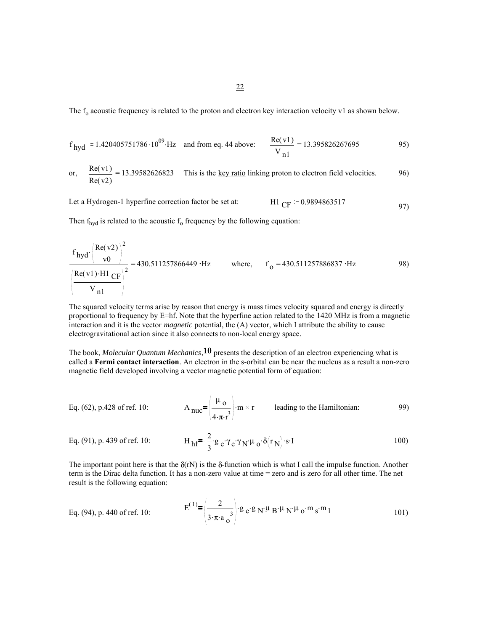The  $f_0$  acoustic frequency is related to the proton and electron key interaction velocity v1 as shown below.

$$
f_{\text{hyd}} = 1.420405751786 \cdot 10^{09} \cdot \text{Hz}
$$
 and from eq. 44 above:  $\frac{\text{Re}(v1)}{V_{\text{n1}}} = 13.395826267695$  95)

or, 
$$
\frac{\text{Re}(v1)}{\text{Re}(v2)} = 13.39582626823
$$
 This is the key ratio linking proton to electron field velocities.

Let a Hydrogen-1 hyperfine correction factor be set at:  $H1_{CF} = 0.9894863517$  97)

Then  $f_{\text{hyd}}$  is related to the acoustic  $f_0$  frequency by the following equation:

$$
\frac{f_{\text{hyd}} \left( \frac{\text{Re}(v2)}{v0} \right)^2}{\left( \frac{\text{Re}(v1) \cdot \text{H1 } \text{CF}}{v_{\text{n1}}} \right)^2} = 430.511257866449 \cdot \text{Hz} \qquad \text{where,} \qquad f_0 = 430.511257886837 \cdot \text{Hz}
$$

The squared velocity terms arise by reason that energy is mass times velocity squared and energy is directly proportional to frequency by E=hf. Note that the hyperfine action related to the 1420 MHz is from a magnetic interaction and it is the vector *magnetic* potential, the (A) vector, which I attribute the ability to cause electrogravitational action since it also connects to non-local energy space.

The book, *Molecular Quantum Mechanics*,**10** presents the description of an electron experiencing what is called a **Fermi contact interaction**. An electron in the s-orbital can be near the nucleus as a result a non-zero magnetic field developed involving a vector magnetic potential form of equation:

Eq. (62), p.428 of ref. 10: 
$$
A_{\text{nuc}} = \left(\frac{\mu_0}{4 \cdot \pi \cdot r^3}\right) \cdot m \times r
$$
 leading to the Hamiltonian: 99)

Eq. (91), p. 439 of ref. 10: 
$$
H_{hf} = \frac{2}{3} g e^{\gamma} e^{\gamma} N^{\mu} o^{\delta}(r_N) s I
$$
 (100)

The important point here is that the  $\delta(rN)$  is the  $\delta$ -function which is what I call the impulse function. Another term is the Dirac delta function. It has a non-zero value at time = zero and is zero for all other time. The net result is the following equation:

Eq. (94), p. 440 of ref. 10: 
$$
E^{(1)} = \left(\frac{2}{3 \cdot \pi \cdot a_0^3}\right) \cdot g_e \cdot g_N \cdot \mu_B \cdot \mu_N \cdot \mu_0 \cdot m_s \cdot m_1
$$
 (101)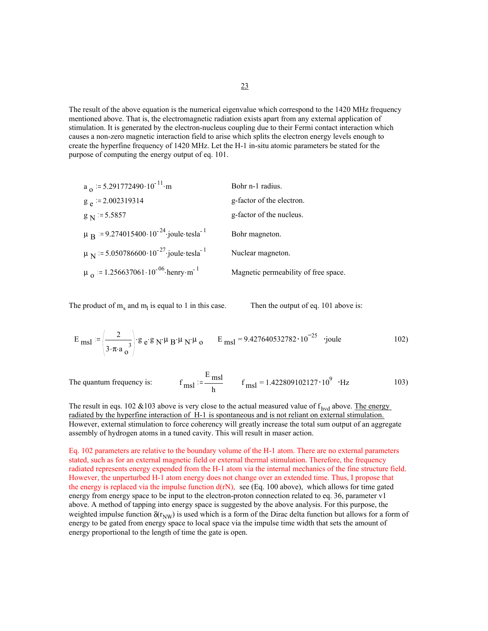The result of the above equation is the numerical eigenvalue which correspond to the 1420 MHz frequency mentioned above. That is, the electromagnetic radiation exists apart from any external application of stimulation. It is generated by the electron-nucleus coupling due to their Fermi contact interaction which causes a non-zero magnetic interaction field to arise which splits the electron energy levels enough to create the hyperfine frequency of 1420 MHz. Let the H-1 in-situ atomic parameters be stated for the purpose of computing the energy output of eq. 101.

| $a_{\Omega}$ = 5.291772490.10 <sup>-11</sup> m                            | Bohr n-1 radius.                     |
|---------------------------------------------------------------------------|--------------------------------------|
| $g_e$ = 2.002319314                                                       | g-factor of the electron.            |
| $g_N = 5.5857$                                                            | g-factor of the nucleus.             |
| $\mu_{\rm B}$ = 9.274015400 · 10 <sup>-24</sup> joule tesla <sup>-1</sup> | Bohr magneton.                       |
| $\mu_N$ = 5.050786600.10 <sup>-27</sup> joule tesla <sup>-1</sup>         | Nuclear magneton.                    |
| $\mu_{\Omega}$ = 1.256637061.10 <sup>-06</sup> henry m <sup>-1</sup>      | Magnetic permeability of free space. |

The product of  $m_s$  and  $m_l$  is equal to 1 in this case.

Then the output of eq. 101 above is:

$$
E_{msl} := \left(\frac{2}{3 \cdot \pi \cdot a_0^3}\right) \cdot g_e \cdot g_N \cdot \mu_B \cdot \mu_N \cdot \mu_0 \qquad E_{msl} = 9.427640532782 \cdot 10^{-25} \text{ 'joule } 102)
$$

The quantum frequency is: E msl  $\frac{\text{msl}}{\text{h}}$  f<sub>msl</sub> = 1.422809102127 · 10<sup>9</sup> · Hz 103)

The result in eqs. 102  $&$  103 above is very close to the actual measured value of  $f_{\text{hvd}}$  above. The energy radiated by the hyperfine interaction of H-1 is spontaneous and is not reliant on external stimulation. However, external stimulation to force coherency will greatly increase the total sum output of an aggregate assembly of hydrogen atoms in a tuned cavity. This will result in maser action.

Eq. 102 parameters are relative to the boundary volume of the H-1 atom. There are no external parameters stated, such as for an external magnetic field or external thermal stimulation. Therefore, the frequency radiated represents energy expended from the H-1 atom via the internal mechanics of the fine structure field. However, the unperturbed H-1 atom energy does not change over an extended time. Thus, I propose that the energy is replaced via the impulse function d(rN), see (Eq. 100 above), which allows for time gated energy from energy space to be input to the electron-proton connection related to eq. 36, parameter v1 above. A method of tapping into energy space is suggested by the above analysis. For this purpose, the weighted impulse function  $\delta(r_{NW})$  is used which is a form of the Dirac delta function but allows for a form of energy to be gated from energy space to local space via the impulse time width that sets the amount of energy proportional to the length of time the gate is open.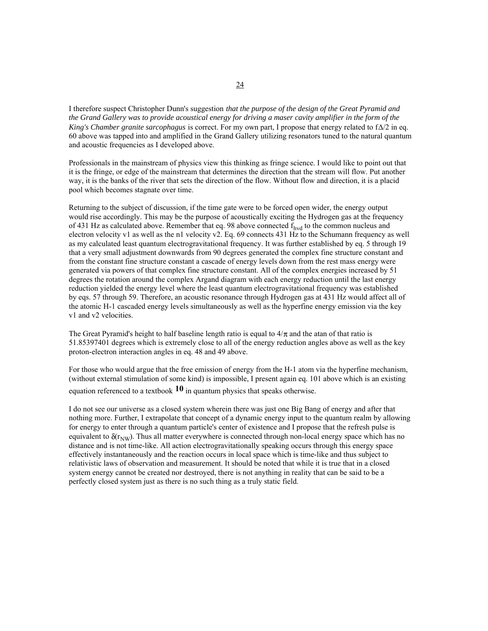I therefore suspect Christopher Dunn's suggestion *that the purpose of the design of the Great Pyramid and the Grand Gallery was to provide acoustical energy for driving a maser cavity amplifier in the form of the King's Chamber granite sarcophagus* is correct. For my own part, I propose that energy related to f∆/2 in eq. 60 above was tapped into and amplified in the Grand Gallery utilizing resonators tuned to the natural quantum and acoustic frequencies as I developed above.

Professionals in the mainstream of physics view this thinking as fringe science. I would like to point out that it is the fringe, or edge of the mainstream that determines the direction that the stream will flow. Put another way, it is the banks of the river that sets the direction of the flow. Without flow and direction, it is a placid pool which becomes stagnate over time.

Returning to the subject of discussion, if the time gate were to be forced open wider, the energy output would rise accordingly. This may be the purpose of acoustically exciting the Hydrogen gas at the frequency of 431 Hz as calculated above. Remember that eq. 98 above connected  $f_{\text{hvd}}$  to the common nucleus and electron velocity v1 as well as the n1 velocity v2. Eq. 69 connects 431 Hz to the Schumann frequency as well as my calculated least quantum electrogravitational frequency. It was further established by eq. 5 through 19 that a very small adjustment downwards from 90 degrees generated the complex fine structure constant and from the constant fine structure constant a cascade of energy levels down from the rest mass energy were generated via powers of that complex fine structure constant. All of the complex energies increased by 51 degrees the rotation around the complex Argand diagram with each energy reduction until the last energy reduction yielded the energy level where the least quantum electrogravitational frequency was established by eqs. 57 through 59. Therefore, an acoustic resonance through Hydrogen gas at 431 Hz would affect all of the atomic H-1 cascaded energy levels simultaneously as well as the hyperfine energy emission via the key v1 and v2 velocities.

The Great Pyramid's height to half baseline length ratio is equal to  $4/\pi$  and the atan of that ratio is 51.85397401 degrees which is extremely close to all of the energy reduction angles above as well as the key proton-electron interaction angles in eq. 48 and 49 above.

For those who would argue that the free emission of energy from the H-1 atom via the hyperfine mechanism, (without external stimulation of some kind) is impossible, I present again eq. 101 above which is an existing equation referenced to a textbook **10** in quantum physics that speaks otherwise.

I do not see our universe as a closed system wherein there was just one Big Bang of energy and after that nothing more. Further, I extrapolate that concept of a dynamic energy input to the quantum realm by allowing for energy to enter through a quantum particle's center of existence and I propose that the refresh pulse is equivalent to  $\delta(r_{NW})$ . Thus all matter everywhere is connected through non-local energy space which has no distance and is not time-like. All action electrogravitationally speaking occurs through this energy space effectively instantaneously and the reaction occurs in local space which is time-like and thus subject to relativistic laws of observation and measurement. It should be noted that while it is true that in a closed system energy cannot be created nor destroyed, there is not anything in reality that can be said to be a perfectly closed system just as there is no such thing as a truly static field.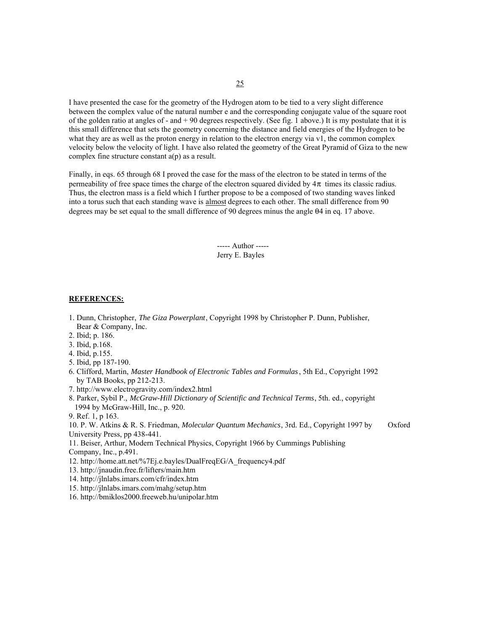I have presented the case for the geometry of the Hydrogen atom to be tied to a very slight difference between the complex value of the natural number e and the corresponding conjugate value of the square root of the golden ratio at angles of - and + 90 degrees respectively. (See fig. 1 above.) It is my postulate that it is this small difference that sets the geometry concerning the distance and field energies of the Hydrogen to be what they are as well as the proton energy in relation to the electron energy via  $v1$ , the common complex velocity below the velocity of light. I have also related the geometry of the Great Pyramid of Giza to the new complex fine structure constant a(p) as a result.

Finally, in eqs. 65 through 68 I proved the case for the mass of the electron to be stated in terms of the permeability of free space times the charge of the electron squared divided by  $4\pi$  times its classic radius. Thus, the electron mass is a field which I further propose to be a composed of two standing waves linked into a torus such that each standing wave is almost degrees to each other. The small difference from 90 degrees may be set equal to the small difference of 90 degrees minus the angle θ4 in eq. 17 above.

> ----- Author ----- Jerry E. Bayles

#### **REFERENCES:**

- 1. Dunn, Christopher, *The Giza Powerplant*, Copyright 1998 by Christopher P. Dunn, Publisher, Bear & Company, Inc.
- 2. Ibid; p. 186.
- 3. Ibid, p.168.
- 4. Ibid, p.155.
- 5. Ibid, pp 187-190.
- 6. Clifford, Martin, *Master Handbook of Electronic Tables and Formulas*, 5th Ed., Copyright 1992 by TAB Books, pp 212-213.
- 7. http://www.electrogravity.com/index2.html
- 8. Parker, Sybil P., *McGraw-Hill Dictionary of Scientific and Technical Terms*, 5th. ed., copyright 1994 by McGraw-Hill, Inc., p. 920.
- 9. Ref. 1, p 163.

10. P. W. Atkins & R. S. Friedman, *Molecular Quantum Mechanics*, 3rd. Ed., Copyright 1997 by Oxford University Press, pp 438-441.

11. Beiser, Arthur, Modern Technical Physics, Copyright 1966 by Cummings Publishing Company, Inc., p.491.

- 12. http://home.att.net/%7Ej.e.bayles/DualFreqEG/A\_frequency4.pdf
- 13. http://jnaudin.free.fr/lifters/main.htm
- 14. http://jlnlabs.imars.com/cfr/index.htm
- 15. http://jlnlabs.imars.com/mahg/setup.htm
- 16. http://bmiklos2000.freeweb.hu/unipolar.htm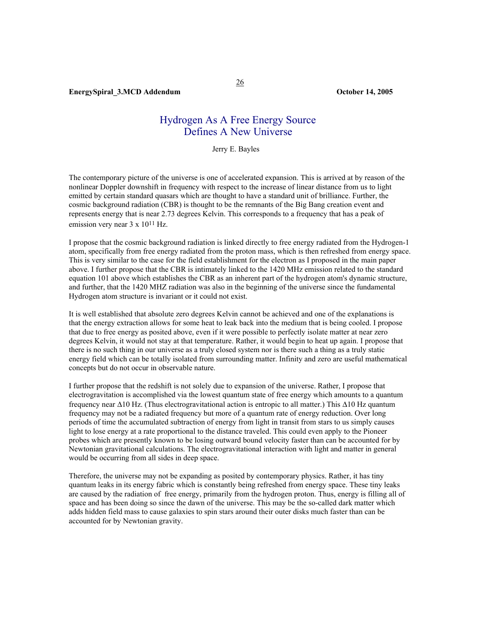**EnergySpiral\_3.MCD Addendum October 14, 2005**

# Hydrogen As A Free Energy Source Defines A New Universe

# Jerry E. Bayles

The contemporary picture of the universe is one of accelerated expansion. This is arrived at by reason of the nonlinear Doppler downshift in frequency with respect to the increase of linear distance from us to light emitted by certain standard quasars which are thought to have a standard unit of brilliance. Further, the cosmic background radiation (CBR) is thought to be the remnants of the Big Bang creation event and represents energy that is near 2.73 degrees Kelvin. This corresponds to a frequency that has a peak of emission very near 3 x 1011 Hz.

I propose that the cosmic background radiation is linked directly to free energy radiated from the Hydrogen-1 atom, specifically from free energy radiated from the proton mass, which is then refreshed from energy space. This is very similar to the case for the field establishment for the electron as I proposed in the main paper above. I further propose that the CBR is intimately linked to the 1420 MHz emission related to the standard equation 101 above which establishes the CBR as an inherent part of the hydrogen atom's dynamic structure, and further, that the 1420 MHZ radiation was also in the beginning of the universe since the fundamental Hydrogen atom structure is invariant or it could not exist.

It is well established that absolute zero degrees Kelvin cannot be achieved and one of the explanations is that the energy extraction allows for some heat to leak back into the medium that is being cooled. I propose that due to free energy as posited above, even if it were possible to perfectly isolate matter at near zero degrees Kelvin, it would not stay at that temperature. Rather, it would begin to heat up again. I propose that there is no such thing in our universe as a truly closed system nor is there such a thing as a truly static energy field which can be totally isolated from surrounding matter. Infinity and zero are useful mathematical concepts but do not occur in observable nature.

I further propose that the redshift is not solely due to expansion of the universe. Rather, I propose that electrogravitation is accomplished via the lowest quantum state of free energy which amounts to a quantum frequency near ∆10 Hz. (Thus electrogravitational action is entropic to all matter.) This ∆10 Hz quantum frequency may not be a radiated frequency but more of a quantum rate of energy reduction. Over long periods of time the accumulated subtraction of energy from light in transit from stars to us simply causes light to lose energy at a rate proportional to the distance traveled. This could even apply to the Pioneer probes which are presently known to be losing outward bound velocity faster than can be accounted for by Newtonian gravitational calculations. The electrogravitational interaction with light and matter in general would be occurring from all sides in deep space.

Therefore, the universe may not be expanding as posited by contemporary physics. Rather, it has tiny quantum leaks in its energy fabric which is constantly being refreshed from energy space. These tiny leaks are caused by the radiation of free energy, primarily from the hydrogen proton. Thus, energy is filling all of space and has been doing so since the dawn of the universe. This may be the so-called dark matter which adds hidden field mass to cause galaxies to spin stars around their outer disks much faster than can be accounted for by Newtonian gravity.

26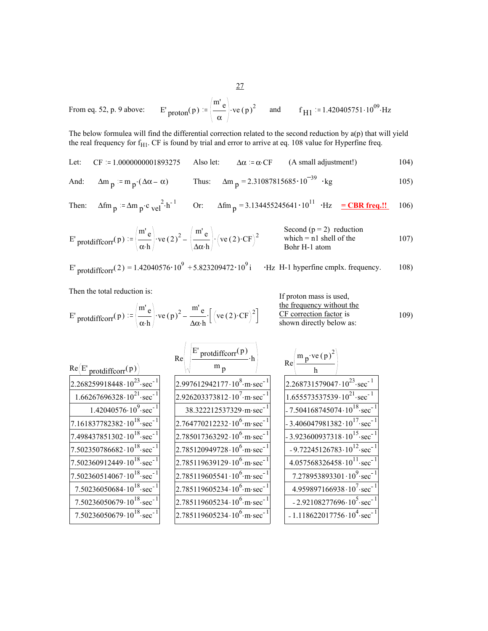From eq. 52, p. 9 above: 
$$
E'_{\text{proton}}(p) := \left(\frac{m' e}{\alpha}\right) \cdot ve(p)^2
$$
 and  $f_{\text{H1}} = 1.420405751 \cdot 10^{09} \cdot \text{Hz}$ 

The below formulea will find the differential correction related to the second reduction by a(p) that will yield the real frequency for  $f_{H1}$ . CF is found by trial and error to arrive at eq. 108 value for Hyperfine freq.

Let: CF := 
$$
1.0000000001893275
$$
 Also let:  $\Delta \alpha = \alpha \cdot CF$  (A small adjustment!) 104)

And: 
$$
\Delta m_p := m_p \cdot (\Delta \alpha - \alpha)
$$
 Thus:  $\Delta m_p = 2.31087815685 \cdot 10^{-39} \cdot \text{kg}$  105)

Then: 
$$
\Delta fm_p := \Delta m_p \cdot c_{vel}^2 \cdot h^{-1}
$$
 Or:  $\Delta fm_p = 3.134455245641 \cdot 10^{11} \cdot Hz = \text{CBR freq.!!}$  106)

E' prodiffcorr(p) := 
$$
\left(\frac{m' e}{\alpha \cdot h}\right) \cdot ve(2)^2 - \left(\frac{m' e}{\Delta \alpha \cdot h}\right) \cdot (ve(2) \cdot CF)^2
$$
  
  $\left(\frac{m' e}{\Delta \alpha \cdot h}\right) \cdot (ve(2) \cdot CF)^2$   
  $\left(\frac{m' e}{\Delta \alpha \cdot h}\right) \cdot (ve(2) \cdot CF)^2$   
  $\left(\frac{m' e}{\Delta \alpha \cdot h}\right) \cdot (ve(2) \cdot CF)^2$   
  $\left(\frac{m' e}{\Delta \alpha \cdot h}\right) \cdot (ve(2) \cdot CF)^2$   
  $\left(\frac{m' e}{\Delta \alpha \cdot h}\right) \cdot (ve(2) \cdot CF)^2$   
  $\left(\frac{m' e}{\Delta \alpha \cdot h}\right) \cdot (ve(2) \cdot CF)^2$   
  $\left(\frac{m' e}{\Delta \alpha \cdot h}\right) \cdot (ve(2) \cdot CF)^2$   
  $\left(\frac{m' e}{\Delta \alpha \cdot h}\right) \cdot (ve(2) \cdot CF)^2$   
  $\left(\frac{m' e}{\Delta \alpha \cdot h}\right) \cdot (ve(2) \cdot CF)^2$ 

$$
E' \text{product}(\text{for} (2) = 1.42040576 \cdot 10^9 + 5.823209472 \cdot 10^9 \text{ i} \qquad \text{Hz H-1 hyperfine cmplx. frequency.} \tag{108}
$$

Then the total reduction is:<br>
If proton mass is used,

 $Re(E'$  protdiffcorr $\frac{(p)}{p}$  $2.268259918448 \cdot 10^{23}$  sec

 $1.66267696328 \cdot 10^{21}$  sec

7.161837782382 $\cdot 10^{18}$ ·sec

7.498437851302 $\cdot 10^{18}$ ·sec

7.502350786682 $\cdot 10^{18}$ ·sec

7.502360912449 $\cdot 10^{18}$ ·sec

7.502360514067 $\cdot 10^{18}$ ·sec

7.50236050684 $\cdot 10^{18}$ ·sec

7.50236050679 $\cdot 10^{18}$ ·sec

7.50236050679 $\cdot 10^{18}$ ·sec

 $1.42040576 \cdot 10^{9}$  sec

$$
E' \text{product}(\mathbf{p}) := \left(\frac{\mathbf{m} \cdot \mathbf{e}}{\alpha \cdot \mathbf{h}}\right) \cdot \mathbf{v}(\mathbf{p})^2 - \frac{\mathbf{m} \cdot \mathbf{e}}{\Delta \alpha \cdot \mathbf{h}} \cdot \left[\left(\mathbf{v}(\mathbf{e}(2) \cdot \mathbf{C}F)^2\right)\right] \qquad \text{the frequency without theerror of the frequency of the frequency.} \qquad (109)
$$
 shown directly below as:

 $\sqrt{2}$ 

|                | $E'$ protdiffcorr $(p)$<br>Re<br>$m$ p                                     | Re               |
|----------------|----------------------------------------------------------------------------|------------------|
| $\mathbf{1}$   | $2.997612942177 \cdot 10^{8} \text{ m-sec}^{-1}$                           | 2.26             |
| $\overline{1}$ | 2.926203373812 $\cdot$ 10 <sup>7</sup> $\cdot$ m $\cdot$ sec <sup>-1</sup> | 1.6 <sup>2</sup> |
| $\mathbf{1}$   | 38.322212537329 · m · sec <sup>-1</sup>                                    | 7.5              |
| $\overline{1}$ | $2.764770212232 \cdot 10^6 \cdot m \cdot sec^{-1}$                         | 3.4              |
| $\overline{1}$ | $2.785017363292 \cdot 10^6$ m sec <sup>-1</sup>                            | 3.9              |
| $\overline{1}$ | $2.785120949728 \cdot 10^6$ m · sec <sup>-1</sup>                          | $-9$             |
| $\overline{1}$ | $2.785119639129 \cdot 10^{6}$ m sec <sup>-1</sup>                          | 4.0              |
| $\overline{1}$ | $2.785119605541 \cdot 10^6 \cdot m \cdot sec^{-1}$                         | $\overline{7}$   |
| $\overline{1}$ | $2.785119605234 \cdot 10^{6}$ m · sec <sup>-1</sup>                        | $\overline{4}$   |
| $\overline{1}$ | $2.785119605234 \cdot 10^{6}$ m · sec <sup>-1</sup>                        |                  |
| $\overline{1}$ | $2.785119605234 \cdot 10^6$ m sec                                          |                  |
|                |                                                                            |                  |

| $m_p$ ·ve $(p)^2$<br>Re                                           |
|-------------------------------------------------------------------|
| 2.268731579047 $\cdot 10^{23}$ ·sec <sup>-1</sup>                 |
| $1.655573537539 \cdot 10^{21} \cdot \text{sec}^{-1}$              |
| 7.504168745074 $\cdot$ 10 <sup>18</sup> $\cdot$ sec <sup>-1</sup> |
| 3.406047981382 $\cdot 10^{17}$ ·sec <sup>-1</sup>                 |
| $-3.923600937318 \cdot 10^{15} \cdot \text{sec}^{-1}$             |
| $-9.72245126783 \cdot 10^{12} \cdot \text{sec}^{-1}$              |
| $4.057568326458 \cdot 10^{11} \cdot \text{sec}^{-1}$              |
| 7.278953893301 $\cdot$ 10 <sup>9</sup> $\cdot$ sec <sup>-1</sup>  |
| $4.959897166938 \cdot 10^{7} \text{ sec}^{-1}$                    |
| $-2.92108277696 \cdot 10^{5}$ sec <sup>-1</sup>                   |
| $-1.118622017756 \cdot 10^{4}$ sec <sup>-1</sup>                  |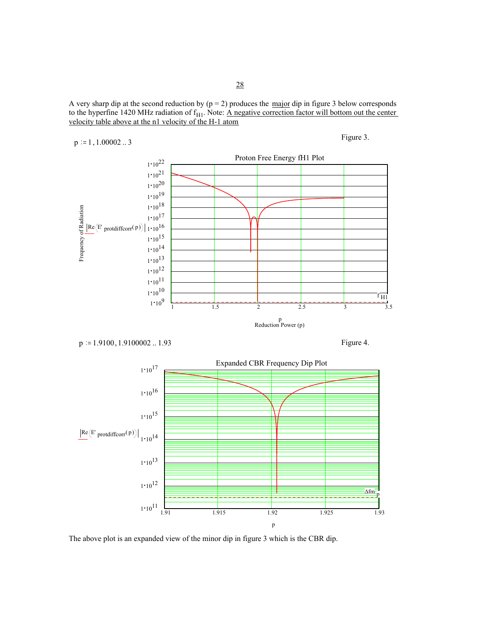

$$
p := 1, 1.00002...
$$
3 Figure 3.



$$
p = 1.9100, 1.9100002...
$$
 1.93

Figure 4.



The above plot is an expanded view of the minor dip in figure 3 which is the CBR dip.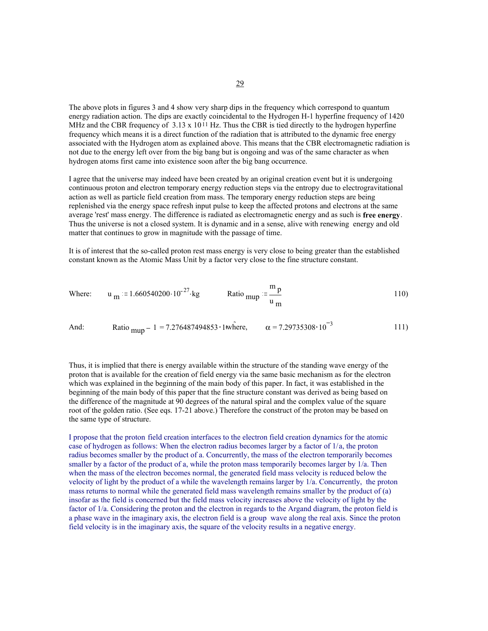The above plots in figures 3 and 4 show very sharp dips in the frequency which correspond to quantum energy radiation action. The dips are exactly coincidental to the Hydrogen H-1 hyperfine frequency of 1420 MHz and the CBR frequency of  $3.13 \times 10^{11}$  Hz. Thus the CBR is tied directly to the hydrogen hyperfine frequency which means it is a direct function of the radiation that is attributed to the dynamic free energy associated with the Hydrogen atom as explained above. This means that the CBR electromagnetic radiation is not due to the energy left over from the big bang but is ongoing and was of the same character as when hydrogen atoms first came into existence soon after the big bang occurrence.

I agree that the universe may indeed have been created by an original creation event but it is undergoing continuous proton and electron temporary energy reduction steps via the entropy due to electrogravitational action as well as particle field creation from mass. The temporary energy reduction steps are being replenished via the energy space refresh input pulse to keep the affected protons and electrons at the same average 'rest' mass energy. The difference is radiated as electromagnetic energy and as such is **free energy**. Thus the universe is not a closed system. It is dynamic and in a sense, alive with renewing energy and old matter that continues to grow in magnitude with the passage of time.

It is of interest that the so-called proton rest mass energy is very close to being greater than the established constant known as the Atomic Mass Unit by a factor very close to the fine structure constant.

Where: 
$$
u_m = 1.660540200 \cdot 10^{-27} \text{ kg}
$$
 Ratio  $_{mup} = \frac{m_p}{u_m}$  110)

And: Ratio 
$$
\mu_{\text{mup}} - 1 = 7.276487494853 \cdot 1 \text{ where, } \alpha = 7.29735308 \cdot 10^{-3}
$$
 111)

Thus, it is implied that there is energy available within the structure of the standing wave energy of the proton that is available for the creation of field energy via the same basic mechanism as for the electron which was explained in the beginning of the main body of this paper. In fact, it was established in the beginning of the main body of this paper that the fine structure constant was derived as being based on the difference of the magnitude at 90 degrees of the natural spiral and the complex value of the square root of the golden ratio. (See eqs. 17-21 above.) Therefore the construct of the proton may be based on the same type of structure.

I propose that the proton field creation interfaces to the electron field creation dynamics for the atomic case of hydrogen as follows: When the electron radius becomes larger by a factor of 1/a, the proton radius becomes smaller by the product of a. Concurrently, the mass of the electron temporarily becomes smaller by a factor of the product of a, while the proton mass temporarily becomes larger by 1/a. Then when the mass of the electron becomes normal, the generated field mass velocity is reduced below the velocity of light by the product of a while the wavelength remains larger by 1/a. Concurrently, the proton mass returns to normal while the generated field mass wavelength remains smaller by the product of (a) insofar as the field is concerned but the field mass velocity increases above the velocity of light by the factor of 1/a. Considering the proton and the electron in regards to the Argand diagram, the proton field is a phase wave in the imaginary axis, the electron field is a group wave along the real axis. Since the proton field velocity is in the imaginary axis, the square of the velocity results in a negative energy.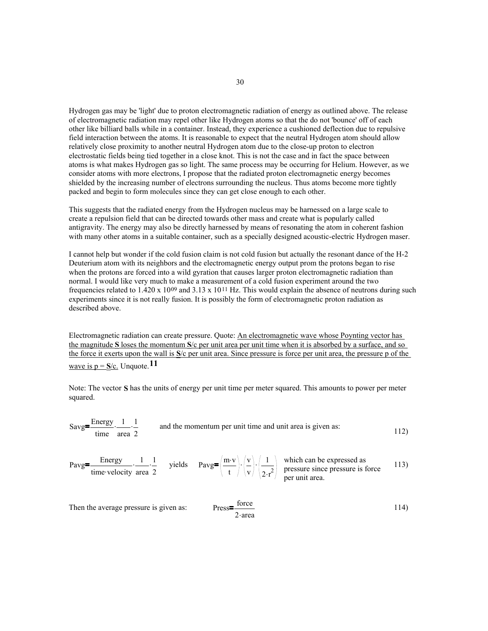Hydrogen gas may be 'light' due to proton electromagnetic radiation of energy as outlined above. The release of electromagnetic radiation may repel other like Hydrogen atoms so that the do not 'bounce' off of each other like billiard balls while in a container. Instead, they experience a cushioned deflection due to repulsive field interaction between the atoms. It is reasonable to expect that the neutral Hydrogen atom should allow relatively close proximity to another neutral Hydrogen atom due to the close-up proton to electron electrostatic fields being tied together in a close knot. This is not the case and in fact the space between atoms is what makes Hydrogen gas so light. The same process may be occurring for Helium. However, as we consider atoms with more electrons, I propose that the radiated proton electromagnetic energy becomes shielded by the increasing number of electrons surrounding the nucleus. Thus atoms become more tightly packed and begin to form molecules since they can get close enough to each other.

This suggests that the radiated energy from the Hydrogen nucleus may be harnessed on a large scale to create a repulsion field that can be directed towards other mass and create what is popularly called antigravity. The energy may also be directly harnessed by means of resonating the atom in coherent fashion with many other atoms in a suitable container, such as a specially designed acoustic-electric Hydrogen maser.

I cannot help but wonder if the cold fusion claim is not cold fusion but actually the resonant dance of the H-2 Deuterium atom with its neighbors and the electromagnetic energy output prom the protons began to rise when the protons are forced into a wild gyration that causes larger proton electromagnetic radiation than normal. I would like very much to make a measurement of a cold fusion experiment around the two frequencies related to  $1.420 \times 10^{09}$  and  $3.13 \times 10^{11}$  Hz. This would explain the absence of neutrons during such experiments since it is not really fusion. It is possibly the form of electromagnetic proton radiation as described above.

Electromagnetic radiation can create pressure. Quote: An electromagnetic wave whose Poynting vector has the magnitude **S** loses the momentum **S**/c per unit area per unit time when it is absorbed by a surface, and so the force it exerts upon the wall is **S**/c per unit area. Since pressure is force per unit area, the pressure p of the wave is  $p = S/c$ . Unquote.<sup>11</sup>

Note: The vector **S** has the units of energy per unit time per meter squared. This amounts to power per meter squared.

Savg=
$$
\frac{\text{Energy}}{\text{time}}
$$
  $\frac{1}{\text{area } 2}$  and the momentum per unit time and unit area is given as: 112)

$$
Payg = \frac{Energy}{time\cdot velocity}\cdot\frac{1}{area}\cdot\frac{1}{2} \quad yields \quad Pay = \left(\frac{m\cdot v}{t}\right) \cdot \left(\frac{v}{v}\right) \cdot \left(\frac{1}{2\cdot r^2}\right) \quad which can be expressed aspressure since pressure is force  $113$
$$

Then the average pressure is given as: P

$$
Press = \frac{force}{2 \cdot area} \tag{114}
$$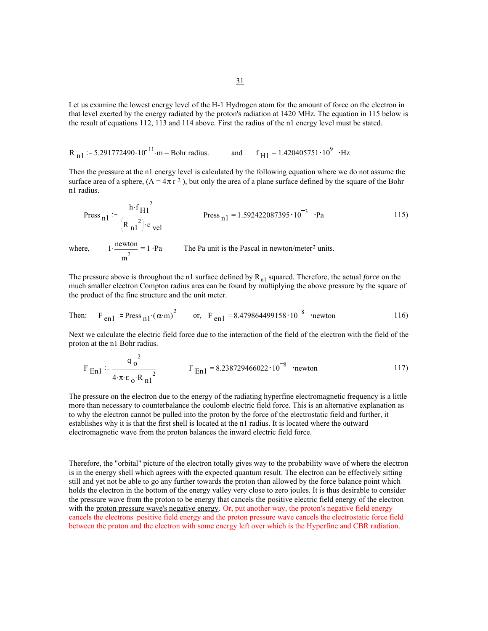Let us examine the lowest energy level of the H-1 Hydrogen atom for the amount of force on the electron in that level exerted by the energy radiated by the proton's radiation at 1420 MHz. The equation in 115 below is the result of equations 112, 113 and 114 above. First the radius of the n1 energy level must be stated.

$$
R_{n1} = 5.291772490 \cdot 10^{-11} \cdot m = Bohr \text{ radius.} \qquad \text{and} \qquad f_{H1} = 1.420405751 \cdot 10^{9} \cdot Hz
$$

Then the pressure at the n1 energy level is calculated by the following equation where we do not assume the surface area of a sphere,  $(A = 4\pi r^2)$ , but only the area of a plane surface defined by the square of the Bohr n1 radius.

Press 
$$
n1 := \frac{h \cdot f_{H1}^2}{(R_{n1}^2) \cdot c_{vel}}
$$
 Press  $n1 = 1.592422087395 \cdot 10^{-3} \cdot Pa$  115)  
where,  $1 \cdot \frac{newton}{m^2} = 1 \cdot Pa$  The Pa unit is the Pascal in newton/meter<sup>2</sup> units.

The pressure above is throughout the n1 surface defined by R<sub>n1</sub> squared. Therefore, the actual *force* on the much smaller electron Compton radius area can be found by multiplying the above pressure by the square of the product of the fine structure and the unit meter.

Then: 
$$
F_{en1} = \text{Press}_{n1} \cdot (\alpha \cdot m)^2
$$
 or,  $F_{en1} = 8.479864499158 \cdot 10^{-8}$  'newton

Next we calculate the electric field force due to the interaction of the field of the electron with the field of the proton at the n1 Bohr radius.

$$
F_{En1} := \frac{q_0^2}{4 \cdot \pi \epsilon_0 \cdot R_{n1}^2}
$$
 F<sub>En1</sub> = 8.238729466022 \cdot 10<sup>-8</sup> 'newton

The pressure on the electron due to the energy of the radiating hyperfine electromagnetic frequency is a little more than necessary to counterbalance the coulomb electric field force. This is an alternative explanation as to why the electron cannot be pulled into the proton by the force of the electrostatic field and further, it establishes why it is that the first shell is located at the n1 radius. It is located where the outward electromagnetic wave from the proton balances the inward electric field force.

Therefore, the "orbital" picture of the electron totally gives way to the probability wave of where the electron is in the energy shell which agrees with the expected quantum result. The electron can be effectively sitting still and yet not be able to go any further towards the proton than allowed by the force balance point which holds the electron in the bottom of the energy valley very close to zero joules. It is thus desirable to consider the pressure wave from the proton to be energy that cancels the positive electric field energy of the electron with the <u>proton pressure wave's negative energy</u>. Or, put another way, the proton's negative field energy cancels the electrons positive field energy and the proton pressure wave cancels the electrostatic force field between the proton and the electron with some energy left over which is the Hyperfine and CBR radiation.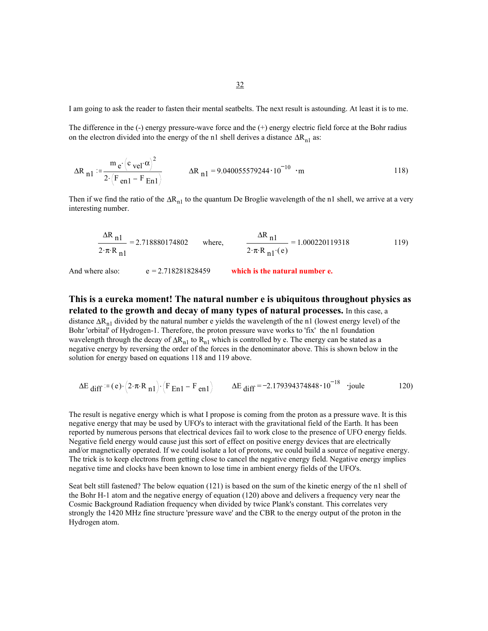I am going to ask the reader to fasten their mental seatbelts. The next result is astounding. At least it is to me.

The difference in the (-) energy pressure-wave force and the (+) energy electric field force at the Bohr radius on the electron divided into the energy of the n1 shell derives a distance  $\Delta R_{n1}$  as:

$$
\Delta R_{n1} := \frac{m_e \left(c_{vel} \cdot \alpha\right)^2}{2 \cdot \left(F_{en1} - F_{En1}\right)} \qquad \Delta R_{n1} = 9.040055579244 \cdot 10^{-10} \cdot m \qquad (118)
$$

Then if we find the ratio of the  $\Delta R_{n1}$  to the quantum De Broglie wavelength of the n1 shell, we arrive at a very interesting number.

$$
\frac{\Delta R_{n1}}{2 \cdot \pi \cdot R_{n1}} = 2.718880174802 \quad \text{where,} \quad \frac{\Delta R_{n1}}{2 \cdot \pi \cdot R_{n1} \cdot (e)} = 1.000220119318 \quad 119)
$$

And where also:  $e = 2.718281828459$ 

# **This is a eureka moment! The natural number e is ubiquitous throughout physics as related to the growth and decay of many types of natural processes.** In this case, a

distance ∆Rn1 divided by the natural number e yields the wavelength of the n1 (lowest energy level) of the Bohr 'orbital' of Hydrogen-1. Therefore, the proton pressure wave works to 'fix' the n1 foundation wavelength through the decay of  $\Delta R_{n1}$  to  $R_{n1}$  which is controlled by e. The energy can be stated as a negative energy by reversing the order of the forces in the denominator above. This is shown below in the solution for energy based on equations 118 and 119 above.

$$
\Delta E_{\text{diff}} = (e) \cdot (2 \cdot \pi \cdot R_{n1}) \cdot (F_{En1} - F_{en1}) \qquad \Delta E_{\text{diff}} = -2.179394374848 \cdot 10^{-18} \text{ joule}
$$
 (120)

The result is negative energy which is what I propose is coming from the proton as a pressure wave. It is this negative energy that may be used by UFO's to interact with the gravitational field of the Earth. It has been reported by numerous persons that electrical devices fail to work close to the presence of UFO energy fields. Negative field energy would cause just this sort of effect on positive energy devices that are electrically and/or magnetically operated. If we could isolate a lot of protons, we could build a source of negative energy. The trick is to keep electrons from getting close to cancel the negative energy field. Negative energy implies negative time and clocks have been known to lose time in ambient energy fields of the UFO's.

Seat belt still fastened? The below equation (121) is based on the sum of the kinetic energy of the n1 shell of the Bohr H-1 atom and the negative energy of equation (120) above and delivers a frequency very near the Cosmic Background Radiation frequency when divided by twice Plank's constant. This correlates very strongly the 1420 MHz fine structure 'pressure wave' and the CBR to the energy output of the proton in the Hydrogen atom.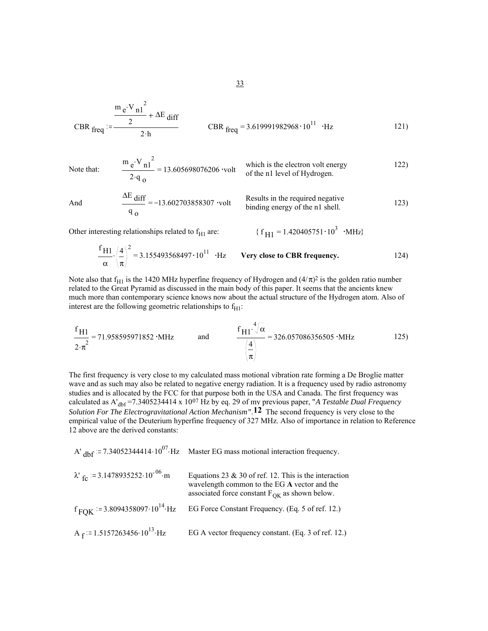CBR 
$$
f_{\text{freq}} := \frac{m_e \cdot V_{\text{nl}}^2}{2 \cdot h}
$$
 \t\tCBR  $f_{\text{freq}} = 3.619991982968 \cdot 10^{11} \cdot Hz$  121)

Note that: 
$$
\frac{m e^{V} n1^{2}}{2 q_{0}} = 13.605698076206 \text{ volt} \text{ which is the electron volt energy} (122)
$$

And 
$$
\frac{\Delta E}{q_o} = -13.602703858307
$$
 volt Results in the required negative binding energy of the n1 shell.

Other interesting relationships related to  $f_{H1}$  are:  $\{f_{H1} = 1.420405751 \cdot 10^3 \cdot MHz\}$ 

$$
\frac{f_{\text{H1}}}{\alpha} \left(\frac{4}{\pi}\right)^2 = 3.155493568497 \cdot 10^{11} \text{ Hz}
$$
 Very close to CBR frequency.

Note also that  $f_{H1}$  is the 1420 MHz hyperfine frequency of Hydrogen and  $(4/\pi)^2$  is the golden ratio number related to the Great Pyramid as discussed in the main body of this paper. It seems that the ancients knew much more than contemporary science knows now about the actual structure of the Hydrogen atom. Also of interest are the following geometric relationships to  $f_{H1}$ :

$$
\frac{f_{\text{H1}}}{2 \cdot \pi^2} = 71.958595971852 \cdot \text{MHz} \qquad \text{and} \qquad \frac{f_{\text{H1}} \cdot \sqrt[4]{\alpha}}{\left(\frac{4}{\pi}\right)} = 326.057086356505 \cdot \text{MHz} \qquad (125)
$$

The first frequency is very close to my calculated mass motional vibration rate forming a De Broglie matter wave and as such may also be related to negative energy radiation. It is a frequency used by radio astronomy studies and is allocated by the FCC for that purpose both in the USA and Canada. The first frequency was calculated as A'dbf =7.3405234414 x 1007 Hz by eq. 29 of my previous paper, "*A Testable Dual Frequency Solution For The Electrogravitational Action Mechanism*".**12** The second frequency is very close to the empirical value of the Deuterium hyperfine frequency of 327 MHz. Also of importance in relation to Reference 12 above are the derived constants:

|                                                              | A' $_{\text{dbf}}$ = 7.34052344414.10 <sup>07</sup> . Hz Master EG mass motional interaction frequency.                                                        |
|--------------------------------------------------------------|----------------------------------------------------------------------------------------------------------------------------------------------------------------|
| $\lambda'$ <sub>fc</sub> = 3.1478935252.10 <sup>-06</sup> ·m | Equations 23 $\&$ 30 of ref. 12. This is the interaction<br>wavelength common to the EG A vector and the<br>associated force constant $F_{OK}$ as shown below. |
| $f_{\text{FOK}}$ = 3.8094358097.10 <sup>14</sup> .Hz         | EG Force Constant Frequency. (Eq. 5 of ref. 12.)                                                                                                               |
| $A_f = 1.5157263456 \cdot 10^{13}$ Hz                        | EG A vector frequency constant. (Eq. 3 of ref. 12.)                                                                                                            |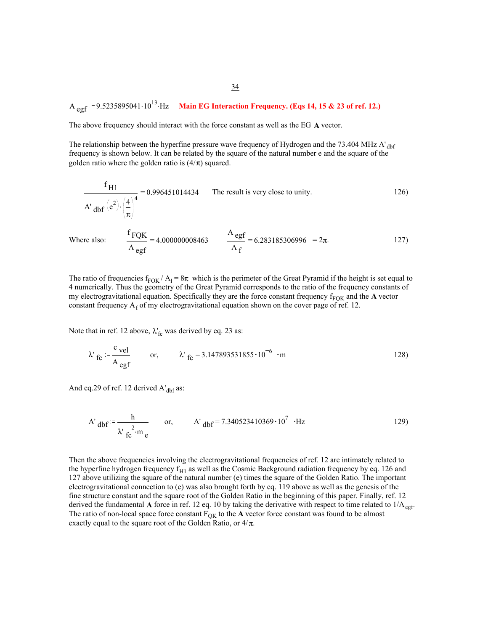A <sub>egf</sub>  $= 9.5235895041 \cdot 10^{13}$  Hz **Main EG Interaction Frequency. (Eqs 14, 15 & 23 of ref. 12.)** 

The above frequency should interact with the force constant as well as the EG **A** vector.

The relationship between the hyperfine pressure wave frequency of Hydrogen and the 73.404 MHz A' dbf frequency is shown below. It can be related by the square of the natural number e and the square of the golden ratio where the golden ratio is  $(4/\pi)$  squared.

$$
\frac{f_{\text{H1}}}{A' \text{ dbf} (e^2) \cdot \left(\frac{4}{\pi}\right)^4} = 0.996451014434 \qquad \text{The result is very close to unity.}
$$

Where also:  $\frac{f_{\text{FQK}}}{f_{\text{FQK}}}$  = A <sub>egf</sub>  $4.000000008463$   $\frac{A_{\text{egf}}}{A_{\text{egf}}}$  $A_f$ 6.283185306996 =  $2\pi$ . 127)

The ratio of frequencies  $f_{FOK} / A_f = 8\pi$  which is the perimeter of the Great Pyramid if the height is set equal to 4 numerically. Thus the geometry of the Great Pyramid corresponds to the ratio of the frequency constants of my electrogravitational equation. Specifically they are the force constant frequency  $f_{FOK}$  and the  $\bf{A}$  vector constant frequency  $A_f$  of my electrogravitational equation shown on the cover page of ref. 12.

Note that in ref. 12 above,  $\lambda'_{\text{fc}}$  was derived by eq. 23 as:

$$
\lambda'_{\text{fc}} = \frac{c_{\text{vel}}}{A_{\text{egf}}}
$$
 or,  $\lambda'_{\text{fc}} = 3.147893531855 \cdot 10^{-6} \cdot \text{m}$  128)

And eq.29 of ref. 12 derived  $A'_{dbf}$  as:

A' dbf 
$$
=\frac{h}{\lambda' \text{ fc}^2 \cdot m \text{ e}}
$$
 or, A' dbf = 7.340523410369·10<sup>7</sup> ·Hz 129)

Then the above frequencies involving the electrogravitational frequencies of ref. 12 are intimately related to the hyperfine hydrogen frequency  $f_{H1}$  as well as the Cosmic Background radiation frequency by eq. 126 and 127 above utilizing the square of the natural number (e) times the square of the Golden Ratio. The important electrogravitational connection to (e) was also brought forth by eq. 119 above as well as the genesis of the fine structure constant and the square root of the Golden Ratio in the beginning of this paper. Finally, ref. 12 derived the fundamental A force in ref. 12 eq. 10 by taking the derivative with respect to time related to  $1/A_{\text{egf}}$ . The ratio of non-local space force constant  $F_{OK}$  to the **A** vector force constant was found to be almost exactly equal to the square root of the Golden Ratio, or  $4/\pi$ .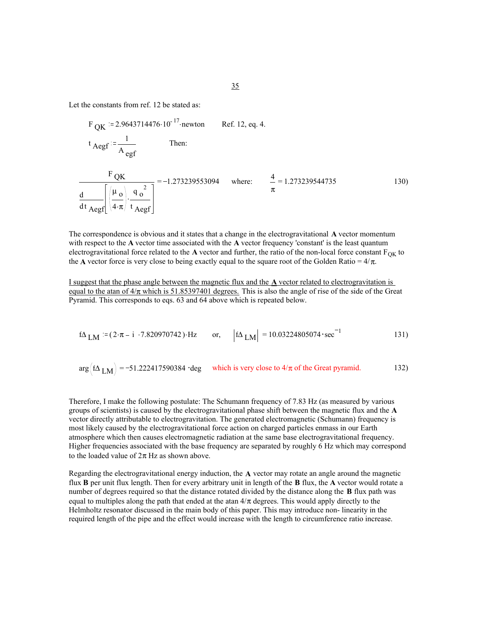Let the constants from ref. 12 be stated as:

$$
F_{\text{QK}} = 2.9643714476 \cdot 10^{-17} \text{.} \text{Newton} \qquad \text{Ref. 12, eq. 4.}
$$
\n
$$
t_{\text{Aegf}} = \frac{1}{A_{\text{egf}}} \qquad \text{Then:}
$$
\n
$$
\frac{F_{\text{QK}}}{\frac{d}{dt_{\text{Aegf}}} \left( \frac{\mu_0}{4 \cdot \pi} \right) \cdot \frac{q_0^2}{t_{\text{Aegf}}} = -1.273239553094 \qquad \text{where:} \qquad \frac{4}{\pi} = 1.273239544735 \qquad 130)
$$

The correspondence is obvious and it states that a change in the electrogravitational **A** vector momentum with respect to the **A** vector time associated with the **A** vector frequency 'constant' is the least quantum electrogravitational force related to the  $A$  vector and further, the ratio of the non-local force constant  $F_{QK}$  to the **A** vector force is very close to being exactly equal to the square root of the Golden Ratio =  $4/\pi$ .

I suggest that the phase angle between the magnetic flux and the **A** vector related to electrogravitation is equal to the atan of  $4/\pi$  which is 51.85397401 degrees. This is also the angle of rise of the side of the Great Pyramid. This corresponds to eqs. 63 and 64 above which is repeated below.

$$
f\Delta_{LM} := (2 \cdot \pi - i \cdot 7.820970742) \cdot Hz \qquad \text{or,} \qquad \left| f\Delta_{LM} \right| = 10.03224805074 \cdot \text{sec}^{-1} \tag{131}
$$

$$
\arg\left(\text{f}\Delta_{LM}\right) = -51.222417590384 \cdot \text{deg} \quad \text{which is very close to } 4/\pi \text{ of the Great pyramid.} \tag{132}
$$

Therefore, I make the following postulate: The Schumann frequency of 7.83 Hz (as measured by various groups of scientists) is caused by the electrogravitational phase shift between the magnetic flux and the **A** vector directly attributable to electrogravitation. The generated electromagnetic (Schumann) frequency is most likely caused by the electrogravitational force action on charged particles enmass in our Earth atmosphere which then causes electromagnetic radiation at the same base electrogravitational frequency. Higher frequencies associated with the base frequency are separated by roughly 6 Hz which may correspond to the loaded value of  $2\pi$  Hz as shown above.

Regarding the electrogravitational energy induction, the **A** vector may rotate an angle around the magnetic flux **B** per unit flux length. Then for every arbitrary unit in length of the **B** flux, the **A** vector would rotate a number of degrees required so that the distance rotated divided by the distance along the **B** flux path was equal to multiples along the path that ended at the atan  $4/\pi$  degrees. This would apply directly to the Helmholtz resonator discussed in the main body of this paper. This may introduce non- linearity in the required length of the pipe and the effect would increase with the length to circumference ratio increase.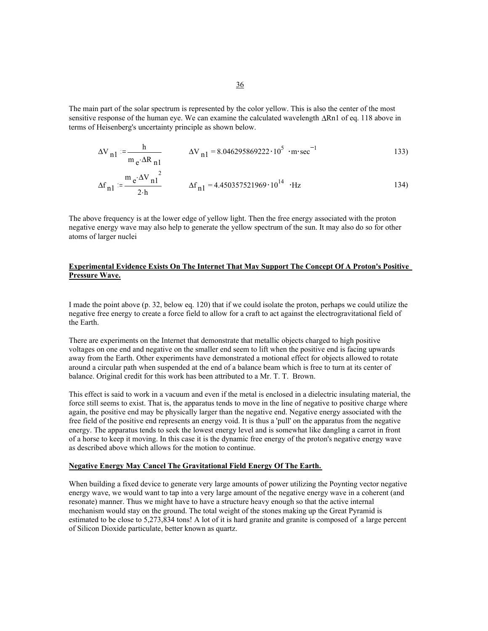The main part of the solar spectrum is represented by the color yellow. This is also the center of the most sensitive response of the human eye. We can examine the calculated wavelength ∆Rn1 of eq. 118 above in terms of Heisenberg's uncertainty principle as shown below.

$$
\Delta V_{n1} = \frac{h}{m_e \Delta R_{n1}} \qquad \Delta V_{n1} = 8.046295869222 \cdot 10^5 \cdot m \cdot sec^{-1}
$$
 (133)

$$
\Delta f_{n1} := \frac{m_e \cdot \Delta V_{n1}^2}{2 \cdot h} \qquad \Delta f_{n1} = 4.450357521969 \cdot 10^{14} \cdot Hz \qquad (134)
$$

The above frequency is at the lower edge of yellow light. Then the free energy associated with the proton negative energy wave may also help to generate the yellow spectrum of the sun. It may also do so for other atoms of larger nuclei

## **Experimental Evidence Exists On The Internet That May Support The Concept Of A Proton's Positive Pressure Wave.**

I made the point above (p. 32, below eq. 120) that if we could isolate the proton, perhaps we could utilize the negative free energy to create a force field to allow for a craft to act against the electrogravitational field of the Earth.

There are experiments on the Internet that demonstrate that metallic objects charged to high positive voltages on one end and negative on the smaller end seem to lift when the positive end is facing upwards away from the Earth. Other experiments have demonstrated a motional effect for objects allowed to rotate around a circular path when suspended at the end of a balance beam which is free to turn at its center of balance. Original credit for this work has been attributed to a Mr. T. T. Brown.

This effect is said to work in a vacuum and even if the metal is enclosed in a dielectric insulating material, the force still seems to exist. That is, the apparatus tends to move in the line of negative to positive charge where again, the positive end may be physically larger than the negative end. Negative energy associated with the free field of the positive end represents an energy void. It is thus a 'pull' on the apparatus from the negative energy. The apparatus tends to seek the lowest energy level and is somewhat like dangling a carrot in front of a horse to keep it moving. In this case it is the dynamic free energy of the proton's negative energy wave as described above which allows for the motion to continue.

## **Negative Energy May Cancel The Gravitational Field Energy Of The Earth.**

When building a fixed device to generate very large amounts of power utilizing the Poynting vector negative energy wave, we would want to tap into a very large amount of the negative energy wave in a coherent (and resonate) manner. Thus we might have to have a structure heavy enough so that the active internal mechanism would stay on the ground. The total weight of the stones making up the Great Pyramid is estimated to be close to 5,273,834 tons! A lot of it is hard granite and granite is composed of a large percent of Silicon Dioxide particulate, better known as quartz.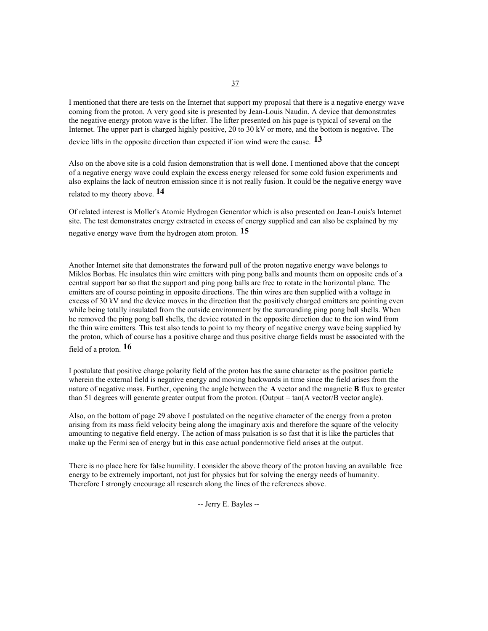I mentioned that there are tests on the Internet that support my proposal that there is a negative energy wave coming from the proton. A very good site is presented by Jean-Louis Naudin. A device that demonstrates the negative energy proton wave is the lifter. The lifter presented on his page is typical of several on the Internet. The upper part is charged highly positive, 20 to 30 kV or more, and the bottom is negative. The

device lifts in the opposite direction than expected if ion wind were the cause. **13**

Also on the above site is a cold fusion demonstration that is well done. I mentioned above that the concept of a negative energy wave could explain the excess energy released for some cold fusion experiments and also explains the lack of neutron emission since it is not really fusion. It could be the negative energy wave

related to my theory above. **14**

Of related interest is Moller's Atomic Hydrogen Generator which is also presented on Jean-Louis's Internet site. The test demonstrates energy extracted in excess of energy supplied and can also be explained by my negative energy wave from the hydrogen atom proton. **15**

Another Internet site that demonstrates the forward pull of the proton negative energy wave belongs to Miklos Borbas. He insulates thin wire emitters with ping pong balls and mounts them on opposite ends of a central support bar so that the support and ping pong balls are free to rotate in the horizontal plane. The emitters are of course pointing in opposite directions. The thin wires are then supplied with a voltage in excess of 30 kV and the device moves in the direction that the positively charged emitters are pointing even while being totally insulated from the outside environment by the surrounding ping pong ball shells. When he removed the ping pong ball shells, the device rotated in the opposite direction due to the ion wind from the thin wire emitters. This test also tends to point to my theory of negative energy wave being supplied by the proton, which of course has a positive charge and thus positive charge fields must be associated with the field of a proton. **16** 

I postulate that positive charge polarity field of the proton has the same character as the positron particle wherein the external field is negative energy and moving backwards in time since the field arises from the nature of negative mass. Further, opening the angle between the **A** vector and the magnetic **B** flux to greater than 51 degrees will generate greater output from the proton. (Output = tan(A vector/B vector angle).

Also, on the bottom of page 29 above I postulated on the negative character of the energy from a proton arising from its mass field velocity being along the imaginary axis and therefore the square of the velocity amounting to negative field energy. The action of mass pulsation is so fast that it is like the particles that make up the Fermi sea of energy but in this case actual pondermotive field arises at the output.

There is no place here for false humility. I consider the above theory of the proton having an available free energy to be extremely important, not just for physics but for solving the energy needs of humanity. Therefore I strongly encourage all research along the lines of the references above.

-- Jerry E. Bayles --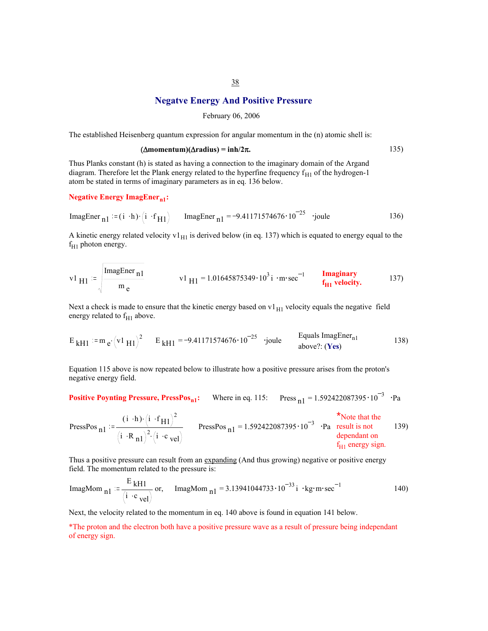# **Negatve Energy And Positive Pressure**

February 06, 2006

The established Heisenberg quantum expression for angular momentum in the (n) atomic shell is:

$$
(\Delta momentum)(\Delta radius) = inh/2\pi.
$$

Thus Planks constant (h) is stated as having a connection to the imaginary domain of the Argand diagram. Therefore let the Plank energy related to the hyperfine frequency  $f_{H1}$  of the hydrogen-1 atom be stated in terms of imaginary parameters as in eq. 136 below.

**Negative Energy ImagEner<sub>n1</sub>:** 

 $\overline{r}$ 

$$
ImageIner_{n1} := (i \cdot h) \cdot (i \cdot f_{H1})
$$
\n
$$
ImageIner_{n1} = -9.41171574676 \cdot 10^{-25}
$$
\n
$$
joule
$$
\n
$$
136)
$$

A kinetic energy related velocity  $v1_{H1}$  is derived below (in eq. 137) which is equated to energy equal to the  $f<sub>H1</sub>$  photon energy.

$$
v1_{H1} := \sqrt{\frac{\text{ImageEner}_{n1}}{m_e}} \qquad v1_{H1} = 1.01645875349 \cdot 10^3 \text{ i} \cdot \text{m} \cdot \text{sec}^{-1} \qquad \frac{\text{Imaginary}}{f_{H1} \text{ velocity.}} \qquad (137)
$$

Next a check is made to ensure that the kinetic energy based on  $v1_{H1}$  velocity equals the negative field energy related to  $f_{H1}$  above.

$$
E_{kH1} := m_e \cdot (v1_{H1})^2 \qquad E_{kH1} = -9.41171574676 \cdot 10^{-25} \quad \text{joule} \qquad \text{Equals Imagener}_{n1} \qquad \text{138}
$$

Equation 115 above is now repeated below to illustrate how a positive pressure arises from the proton's negative energy field.

**Positive Poynting Pressure, PressPos<sub>n1</sub>:** Where in eq. 115: Press  $_{n1}$  = 1.592422087395  $\cdot$  10<sup>-3</sup>  $\cdot$  Pa

PressPos <sub>n1</sub> := 
$$
\frac{(i \cdot h) \cdot (i \cdot f_{H1})^2}{(i \cdot R_{n1})^2 \cdot (i \cdot c_{vel})}
$$
 PressPos <sub>n1</sub> = 1.592422087395·10<sup>-3</sup> • Pa result is not dependent on  
the dependent on  
fl1 energy sign.

Thus a positive pressure can result from an expanding (And thus growing) negative or positive energy field. The momentum related to the pressure is:

ImagMom<sub>n1</sub> := 
$$
\frac{E_{kH1}}{(i \cdot c_{vel})}
$$
 or,  $ImagMom_{n1} = 3.13941044733 \cdot 10^{-33} i \cdot kg \cdot m \cdot sec^{-1}$  140)

Next, the velocity related to the momentum in eq. 140 above is found in equation 141 below.

\*The proton and the electron both have a positive pressure wave as a result of pressure being independant of energy sign.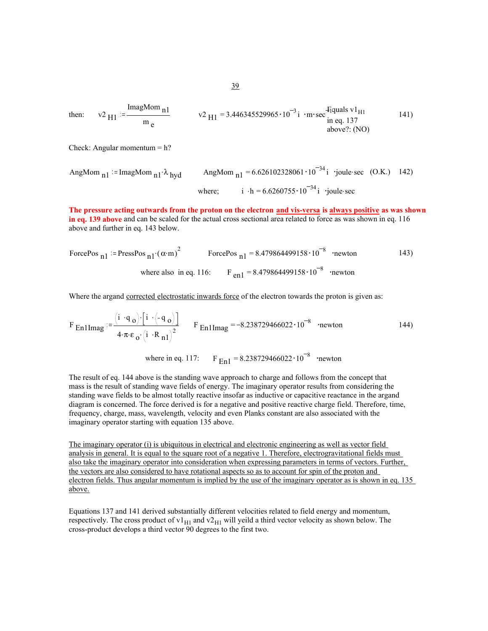then: 
$$
v^2 H1 := \frac{\text{ImagMom } n!}{m_e}
$$
  $v^2 H1 = 3.446345529965 \cdot 10^{-3} i \cdot m \cdot sec \frac{Fiquals v1_{H1}}{in eq. 137}$  (141)  
above? (NO)

Check: Angular momentum = h?

AngMom<sub>n1</sub> = ImageMom<sub>n1</sub> 
$$
\lambda_{\text{hyd}}
$$

\nAngMom<sub>n1</sub> = 6.626102328061 \cdot 10^{-34} i

\n  joule- $\sec$  (O.K.) 142)

\nwhere;

\ni  $\cdot h = 6.6260755 \cdot 10^{-34} i$  *–joule- $\sec$* 

**The pressure acting outwards from the proton on the electron and vis-versa is always positive as was shown in eq. 139 above** and can be scaled for the actual cross sectional area related to force as was shown in eq. 116 above and further in eq. 143 below.

ForcePos n1 PressPos . n1 ( ) <sup>α</sup>.m <sup>2</sup> ForcePos <sup>=</sup> n1 8.479864499158 <sup>10</sup> <sup>8</sup> newton 143) where also in eq. 116: <sup>F</sup> <sup>=</sup> en1 8.479864499158 <sup>10</sup> <sup>8</sup> newton

Where the argand corrected electrostatic inwards force of the electron towards the proton is given as:

$$
F_{En1Image} := \frac{\left(i \cdot q_o\right) \cdot \left[i \cdot \left(-q_o\right)\right]}{4 \cdot \pi \cdot \varepsilon_o \cdot \left(i \cdot R_{n1}\right)^2} \qquad F_{En1Image} = -8.238729466022 \cdot 10^{-8} \quad \text{Newton} \tag{144}
$$

where in eq. 117: F  $_{En1}$  = 8.238729466022 $\cdot$ 10<sup>-8</sup> · newton

The result of eq. 144 above is the standing wave approach to charge and follows from the concept that mass is the result of standing wave fields of energy. The imaginary operator results from considering the standing wave fields to be almost totally reactive insofar as inductive or capacitive reactance in the argand diagram is concerned. The force derived is for a negative and positive reactive charge field. Therefore, time, frequency, charge, mass, wavelength, velocity and even Planks constant are also associated with the imaginary operator starting with equation 135 above.

The imaginary operator (i) is ubiquitous in electrical and electronic engineering as well as vector field analysis in general. It is equal to the square root of a negative 1. Therefore, electrogravitational fields must also take the imaginary operator into consideration when expressing parameters in terms of vectors. Further, the vectors are also considered to have rotational aspects so as to account for spin of the proton and electron fields. Thus angular momentum is implied by the use of the imaginary operator as is shown in eq. 135 above.

Equations 137 and 141 derived substantially different velocities related to field energy and momentum, respectively. The cross product of  $v1_{H1}$  and  $v2_{H1}$  will yeild a third vector velocity as shown below. The cross-product develops a third vector 90 degrees to the first two.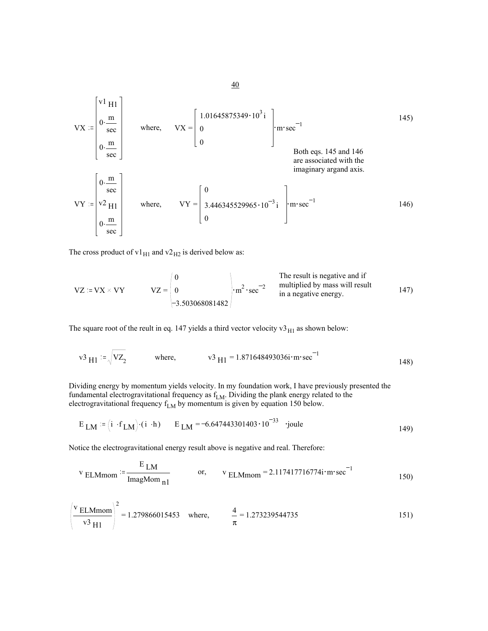$$
\mathbf{VX} := \begin{bmatrix} \mathbf{v1} & \mathbf{H1} \\ \mathbf{0} \cdot \frac{\mathbf{m}}{\mathbf{sec}} \\ \mathbf{0} \cdot \frac{\mathbf{m}}{\mathbf{sec}} \end{bmatrix} \quad \text{where,} \quad \mathbf{VX} = \begin{bmatrix} 1.01645875349 \cdot 10^3 \, \mathbf{i} \\ 0 \\ 0 \end{bmatrix} \quad \text{where,} \quad \mathbf{VX} = \begin{bmatrix} 1.01645875349 \cdot 10^3 \, \mathbf{i} \\ 0 \\ 0 \end{bmatrix} \quad \text{Soth eqs. 145 and 146} \quad \text{are associated with the imaginary argand axis.}
$$
\n
$$
\mathbf{VY} := \begin{bmatrix} \mathbf{0} \cdot \frac{\mathbf{m}}{\mathbf{sec}} \\ \mathbf{v2} \, \mathbf{H1} \\ \mathbf{0} \cdot \frac{\mathbf{m}}{\mathbf{sec}} \end{bmatrix} \quad \text{where,} \quad \mathbf{VY} = \begin{bmatrix} 0 \\ 3.446345529965 \cdot 10^{-3} \, \mathbf{i} \\ 0 \end{bmatrix} \quad \text{or,} \quad \mathbf{r} = \begin{bmatrix} 1 \\ 0 \\ 0 \end{bmatrix} \quad \text{or,} \quad \mathbf{VY} = \begin{bmatrix} 0 \\ 0 \\ 0 \end{bmatrix} \quad \text{or,} \quad \mathbf{VY} = \begin{bmatrix} 0 \\ 0 \\ 0 \end{bmatrix} \quad \text{or,} \quad \mathbf{VY} = \begin{bmatrix} 0 \\ 0 \\ 0 \end{bmatrix} \quad \text{or,} \quad \mathbf{VY} = \begin{bmatrix} 0 \\ 0 \\ 0 \end{bmatrix} \quad \text{or,} \quad \mathbf{VY} = \begin{bmatrix} 0 \\ 0 \\ 0 \end{bmatrix} \quad \text{or,} \quad \mathbf{VY} = \begin{bmatrix} 0 \\ 0 \\ 0 \end{bmatrix} \quad \text{or,} \quad \mathbf{VY} = \begin{bmatrix} 0 \\ 0 \\ 0 \end{bmatrix} \quad \text{or,} \quad \mathbf{VY} = \begin{bmatrix} 0 \\ 0 \\ 0 \end{bmatrix} \quad \text{or,} \quad \mathbf{VY}
$$

The cross product of  $v1_{H1}$  and  $v2_{H2}$  is derived below as:

$$
VZ := VX \times VY
$$
  
\n
$$
VZ = \begin{pmatrix} 0 & 0 & 0 \\ 0 & 0 & 0 \\ -3.503068081482 & 0 \end{pmatrix} \cdot m^{2} \cdot sec^{-2}
$$
  
\nThe result is negative and if multiplied by mass will result in a negative energy.

The square root of the reult in eq. 147 yields a third vector velocity  $v3_{H1}$  as shown below:

$$
v^3 H1 := \sqrt{VZ_2}
$$
 where,  $v^3 H1 = 1.871648493036i \cdot m \cdot sec^{-1}$  (148)

Dividing energy by momentum yields velocity. In my foundation work, I have previously presented the fundamental electrogravitational frequency as  $f_{LM}$ . Dividing the plank energy related to the electrogravitational frequency  $f_{LM}$  by momentum is given by equation 150 below.

$$
E_{LM} = (i \cdot f_{LM}) \cdot (i \cdot h)
$$
  $E_{LM} = -6.647443301403 \cdot 10^{-33}$  'joule 149)

Notice the electrogravitational energy result above is negative and real. Therefore:

$$
v \text{ ELMmom} = \frac{E \text{ LM}}{\text{ImagMom }_{\text{n1}}} \qquad \text{or,} \qquad v \text{ ELMmom} = 2.117417716774 \text{i} \cdot \text{m} \cdot \text{sec}^{-1} \qquad (150)
$$

$$
\left(\frac{v \text{ ELMmom}}{v^3 \text{ H1}}\right)^2 = 1.279866015453 \text{ where, } \frac{4}{\pi} = 1.273239544735
$$

40